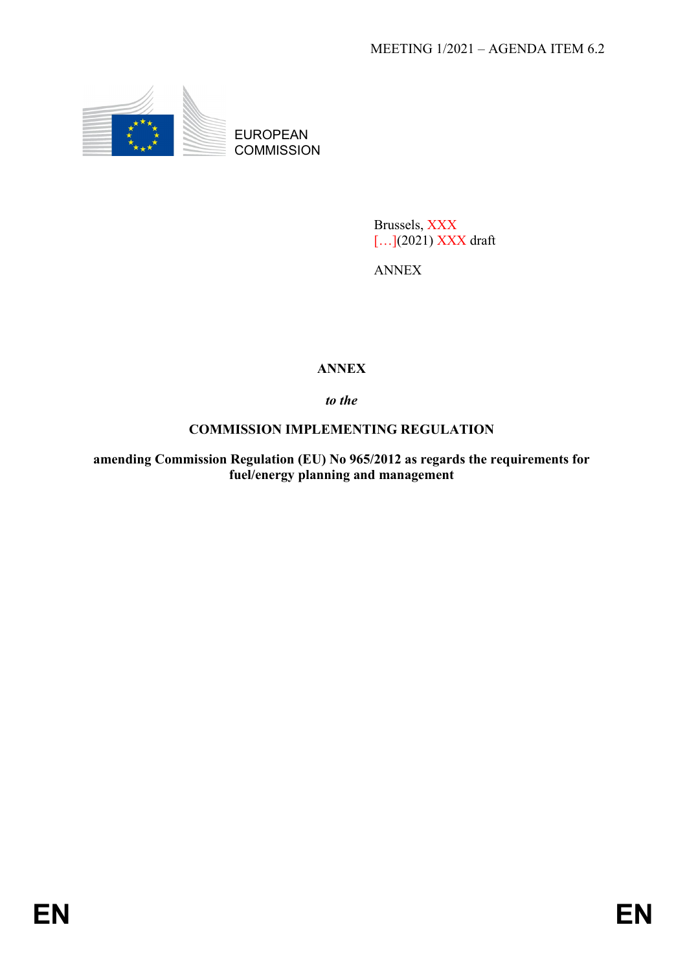

EUROPEAN **COMMISSION** 

> Brussels, XXX […](2021) XXX draft

ANNEX

# **ANNEX**

*to the* 

## **COMMISSION IMPLEMENTING REGULATION**

**amending Commission Regulation (EU) No 965/2012 as regards the requirements for fuel/energy planning and management**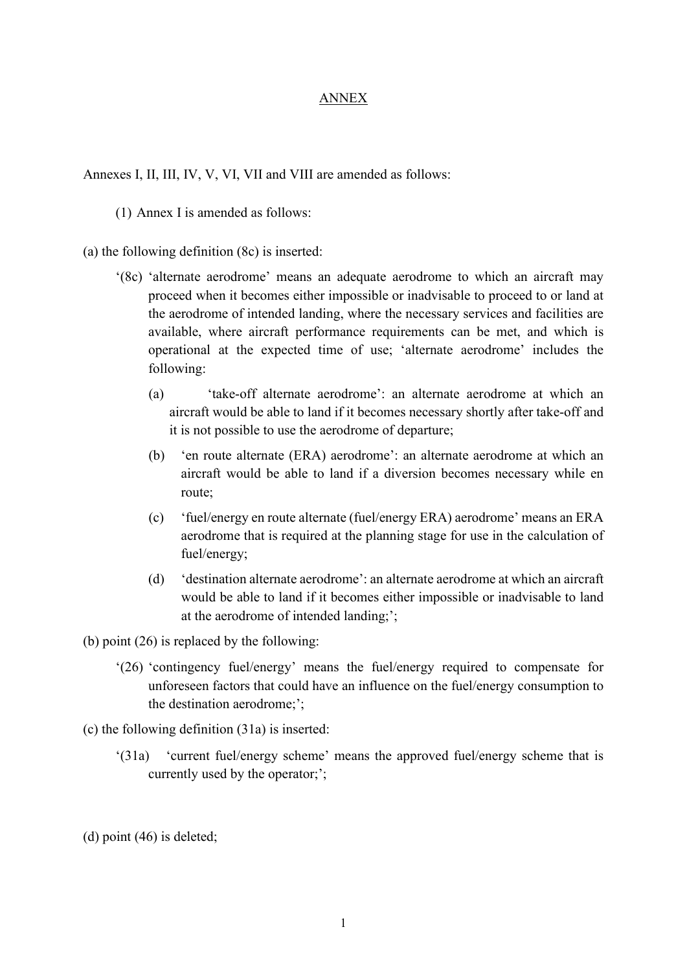#### ANNEX

Annexes I, II, III, IV, V, VI, VII and VIII are amended as follows:

(1) Annex I is amended as follows:

(a) the following definition (8c) is inserted:

- '(8c) 'alternate aerodrome' means an adequate aerodrome to which an aircraft may proceed when it becomes either impossible or inadvisable to proceed to or land at the aerodrome of intended landing, where the necessary services and facilities are available, where aircraft performance requirements can be met, and which is operational at the expected time of use; 'alternate aerodrome' includes the following:
	- (a) 'take-off alternate aerodrome': an alternate aerodrome at which an aircraft would be able to land if it becomes necessary shortly after take-off and it is not possible to use the aerodrome of departure;
	- (b) 'en route alternate (ERA) aerodrome': an alternate aerodrome at which an aircraft would be able to land if a diversion becomes necessary while en route;
	- (c) 'fuel/energy en route alternate (fuel/energy ERA) aerodrome' means an ERA aerodrome that is required at the planning stage for use in the calculation of fuel/energy;
	- (d) 'destination alternate aerodrome': an alternate aerodrome at which an aircraft would be able to land if it becomes either impossible or inadvisable to land at the aerodrome of intended landing;';

(b) point (26) is replaced by the following:

'(26) 'contingency fuel/energy' means the fuel/energy required to compensate for unforeseen factors that could have an influence on the fuel/energy consumption to the destination aerodrome;';

(c) the following definition (31a) is inserted:

- '(31a) 'current fuel/energy scheme' means the approved fuel/energy scheme that is currently used by the operator;';
- (d) point (46) is deleted;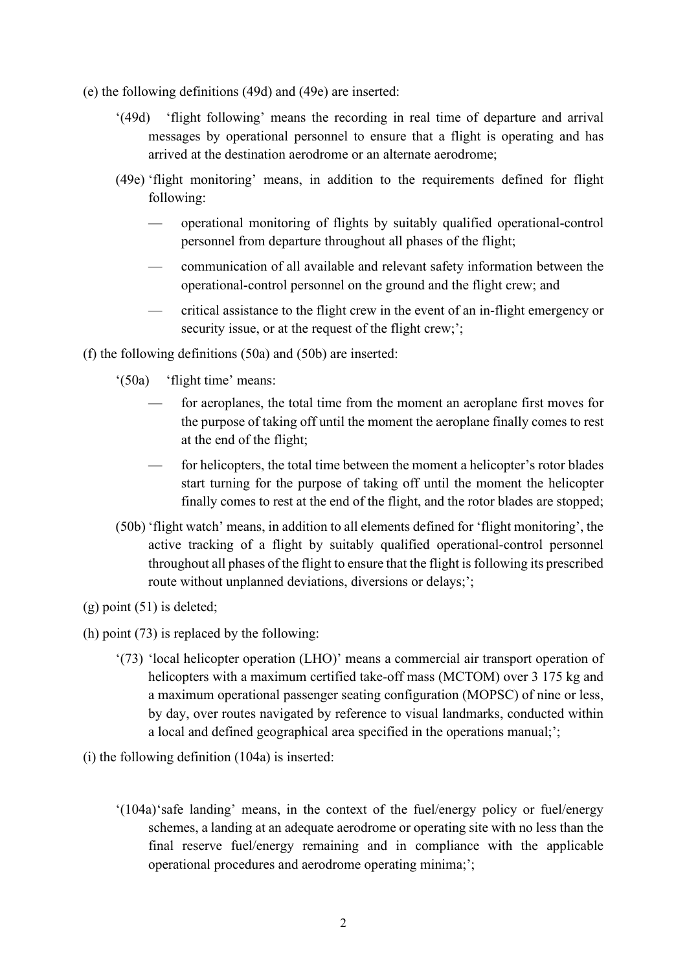- (e) the following definitions (49d) and (49e) are inserted:
	- '(49d) 'flight following' means the recording in real time of departure and arrival messages by operational personnel to ensure that a flight is operating and has arrived at the destination aerodrome or an alternate aerodrome;
	- (49e) 'flight monitoring' means, in addition to the requirements defined for flight following:
		- operational monitoring of flights by suitably qualified operational-control personnel from departure throughout all phases of the flight;
		- communication of all available and relevant safety information between the operational-control personnel on the ground and the flight crew; and
		- critical assistance to the flight crew in the event of an in-flight emergency or security issue, or at the request of the flight crew;';

(f) the following definitions (50a) and (50b) are inserted:

- '(50a) 'flight time' means:
	- for aeroplanes, the total time from the moment an aeroplane first moves for the purpose of taking off until the moment the aeroplane finally comes to rest at the end of the flight;
	- for helicopters, the total time between the moment a helicopter's rotor blades start turning for the purpose of taking off until the moment the helicopter finally comes to rest at the end of the flight, and the rotor blades are stopped;
- (50b) 'flight watch' means, in addition to all elements defined for 'flight monitoring', the active tracking of a flight by suitably qualified operational-control personnel throughout all phases of the flight to ensure that the flight is following its prescribed route without unplanned deviations, diversions or delays;';
- (g) point (51) is deleted;
- (h) point (73) is replaced by the following:
	- '(73) 'local helicopter operation (LHO)' means a commercial air transport operation of helicopters with a maximum certified take-off mass (MCTOM) over 3 175 kg and a maximum operational passenger seating configuration (MOPSC) of nine or less, by day, over routes navigated by reference to visual landmarks, conducted within a local and defined geographical area specified in the operations manual;';
- (i) the following definition (104a) is inserted:
	- '(104a)'safe landing' means, in the context of the fuel/energy policy or fuel/energy schemes, a landing at an adequate aerodrome or operating site with no less than the final reserve fuel/energy remaining and in compliance with the applicable operational procedures and aerodrome operating minima;';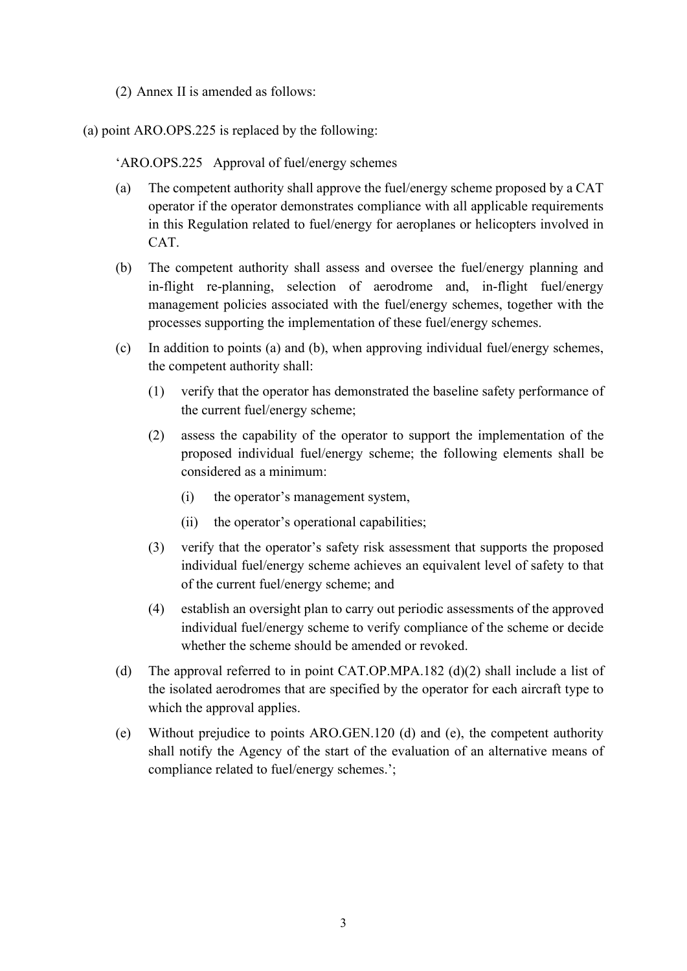(2) Annex II is amended as follows:

(a) point ARO.OPS.225 is replaced by the following:

'ARO.OPS.225 Approval of fuel/energy schemes

- (a) The competent authority shall approve the fuel/energy scheme proposed by a CAT operator if the operator demonstrates compliance with all applicable requirements in this Regulation related to fuel/energy for aeroplanes or helicopters involved in CAT.
- (b) The competent authority shall assess and oversee the fuel/energy planning and in-flight re-planning, selection of aerodrome and, in-flight fuel/energy management policies associated with the fuel/energy schemes, together with the processes supporting the implementation of these fuel/energy schemes.
- (c) In addition to points (a) and (b), when approving individual fuel/energy schemes, the competent authority shall:
	- (1) verify that the operator has demonstrated the baseline safety performance of the current fuel/energy scheme;
	- (2) assess the capability of the operator to support the implementation of the proposed individual fuel/energy scheme; the following elements shall be considered as a minimum:
		- (i) the operator's management system,
		- (ii) the operator's operational capabilities;
	- (3) verify that the operator's safety risk assessment that supports the proposed individual fuel/energy scheme achieves an equivalent level of safety to that of the current fuel/energy scheme; and
	- (4) establish an oversight plan to carry out periodic assessments of the approved individual fuel/energy scheme to verify compliance of the scheme or decide whether the scheme should be amended or revoked.
- (d) The approval referred to in point CAT.OP.MPA.182 (d)(2) shall include a list of the isolated aerodromes that are specified by the operator for each aircraft type to which the approval applies.
- (e) Without prejudice to points ARO.GEN.120 (d) and (e), the competent authority shall notify the Agency of the start of the evaluation of an alternative means of compliance related to fuel/energy schemes.';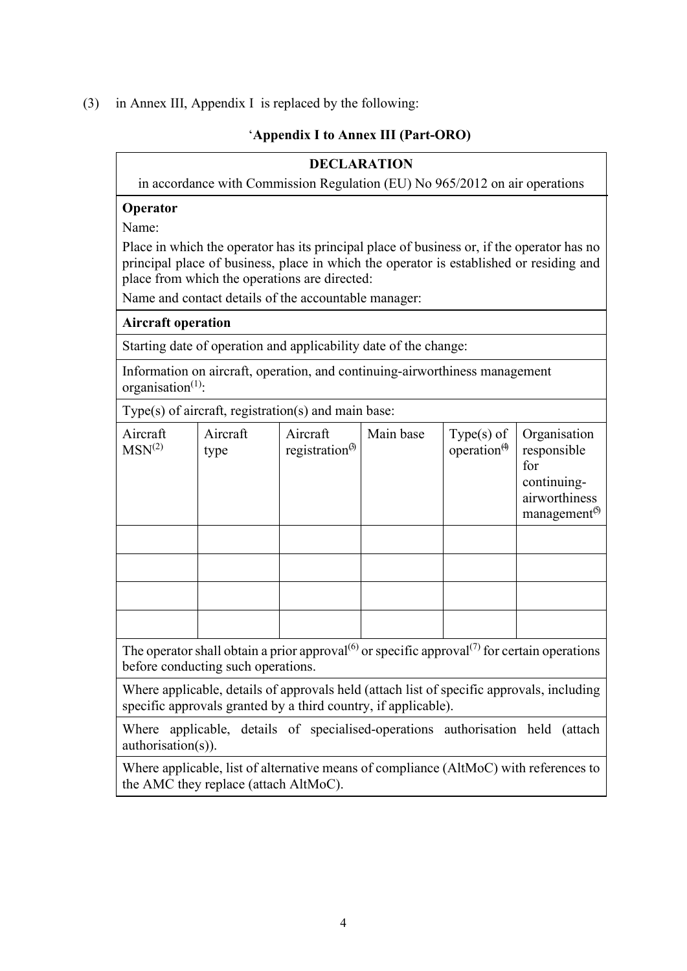### (3) in Annex III, Appendix I is replaced by the following:

### '**Appendix I to Annex III (Part-ORO)**

### **DECLARATION**

in accordance with Commission Regulation (EU) No 965/2012 on air operations

### **Operator**

Name:

Place in which the operator has its principal place of business or, if the operator has no principal place of business, place in which the operator is established or residing and place from which the operations are directed:

Name and contact details of the accountable manager:

### **Aircraft operation**

Starting date of operation and applicability date of the change:

Information on aircraft, operation, and continuing-airworthiness management organisation $<sup>(1)</sup>$ :</sup>

Type(s) of aircraft, registration(s) and main base:

| Aircraft<br>MSN <sup>(2)</sup> | Aircraft<br>type | Aircraft<br>registration $^{(3)}$ | Main base | Type(s) of<br>operation <sup><math>\theta</math></sup> | Organisation<br>responsible<br>for<br>continuing-<br>airworthiness<br>management <sup>(5)</sup> |
|--------------------------------|------------------|-----------------------------------|-----------|--------------------------------------------------------|-------------------------------------------------------------------------------------------------|
|                                |                  |                                   |           |                                                        |                                                                                                 |
|                                |                  |                                   |           |                                                        |                                                                                                 |
|                                |                  |                                   |           |                                                        |                                                                                                 |
|                                |                  |                                   |           |                                                        |                                                                                                 |

The operator shall obtain a prior approval<sup>(6)</sup> or specific approval<sup>(7)</sup> for certain operations before conducting such operations.

Where applicable, details of approvals held (attach list of specific approvals, including specific approvals granted by a third country, if applicable).

Where applicable, details of specialised-operations authorisation held (attach authorisation(s)).

Where applicable, list of alternative means of compliance (AltMoC) with references to the AMC they replace (attach AltMoC).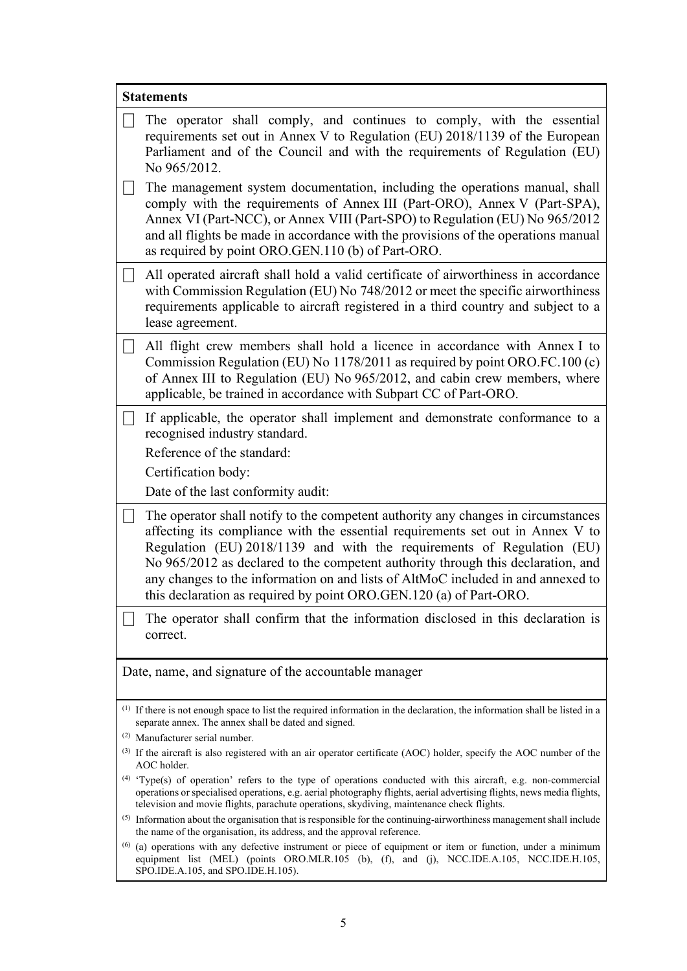| <b>Statements</b>                                                                                                                                                                             |                                                                                                                                                                                                                                                                                                                                                                                                                                                                                             |  |  |  |
|-----------------------------------------------------------------------------------------------------------------------------------------------------------------------------------------------|---------------------------------------------------------------------------------------------------------------------------------------------------------------------------------------------------------------------------------------------------------------------------------------------------------------------------------------------------------------------------------------------------------------------------------------------------------------------------------------------|--|--|--|
|                                                                                                                                                                                               | The operator shall comply, and continues to comply, with the essential<br>requirements set out in Annex V to Regulation (EU) 2018/1139 of the European<br>Parliament and of the Council and with the requirements of Regulation (EU)<br>No 965/2012.                                                                                                                                                                                                                                        |  |  |  |
| $\vert \ \ \vert$                                                                                                                                                                             | The management system documentation, including the operations manual, shall<br>comply with the requirements of Annex III (Part-ORO), Annex V (Part-SPA),<br>Annex VI (Part-NCC), or Annex VIII (Part-SPO) to Regulation (EU) No 965/2012<br>and all flights be made in accordance with the provisions of the operations manual<br>as required by point ORO.GEN.110 (b) of Part-ORO.                                                                                                         |  |  |  |
|                                                                                                                                                                                               | All operated aircraft shall hold a valid certificate of airworthiness in accordance<br>with Commission Regulation (EU) No 748/2012 or meet the specific airworthiness<br>requirements applicable to aircraft registered in a third country and subject to a<br>lease agreement.                                                                                                                                                                                                             |  |  |  |
|                                                                                                                                                                                               | All flight crew members shall hold a licence in accordance with Annex I to<br>Commission Regulation (EU) No 1178/2011 as required by point ORO.FC.100 (c)<br>of Annex III to Regulation (EU) No 965/2012, and cabin crew members, where<br>applicable, be trained in accordance with Subpart CC of Part-ORO.                                                                                                                                                                                |  |  |  |
| $\Box$                                                                                                                                                                                        | If applicable, the operator shall implement and demonstrate conformance to a<br>recognised industry standard.<br>Reference of the standard:<br>Certification body:<br>Date of the last conformity audit:                                                                                                                                                                                                                                                                                    |  |  |  |
|                                                                                                                                                                                               | The operator shall notify to the competent authority any changes in circumstances<br>affecting its compliance with the essential requirements set out in Annex V to<br>Regulation (EU) 2018/1139 and with the requirements of Regulation (EU)<br>No 965/2012 as declared to the competent authority through this declaration, and<br>any changes to the information on and lists of AltMoC included in and annexed to<br>this declaration as required by point ORO.GEN.120 (a) of Part-ORO. |  |  |  |
|                                                                                                                                                                                               | The operator shall confirm that the information disclosed in this declaration is<br>correct.                                                                                                                                                                                                                                                                                                                                                                                                |  |  |  |
| Date, name, and signature of the accountable manager                                                                                                                                          |                                                                                                                                                                                                                                                                                                                                                                                                                                                                                             |  |  |  |
| <sup>(1)</sup> If there is not enough space to list the required information in the declaration, the information shall be listed in a<br>separate annex. The annex shall be dated and signed. |                                                                                                                                                                                                                                                                                                                                                                                                                                                                                             |  |  |  |
| <sup>(2)</sup> Manufacturer serial number.<br>$^{(3)}$ If the aircraft is also registered with an air operator certificate (AOC) holder, specify the AOC number of the                        |                                                                                                                                                                                                                                                                                                                                                                                                                                                                                             |  |  |  |
|                                                                                                                                                                                               | AOC holder.                                                                                                                                                                                                                                                                                                                                                                                                                                                                                 |  |  |  |
|                                                                                                                                                                                               | (4) 'Type(s) of operation' refers to the type of operations conducted with this aircraft, e.g. non-commercial<br>operations or specialised operations, e.g. aerial photography flights, aerial advertising flights, news media flights,<br>television and movie flights, parachute operations, skydiving, maintenance check flights.                                                                                                                                                        |  |  |  |
|                                                                                                                                                                                               | $(5)$ Information about the organisation that is responsible for the continuing-airworthiness management shall include<br>the name of the organisation, its address, and the approval reference.                                                                                                                                                                                                                                                                                            |  |  |  |
| (6)                                                                                                                                                                                           | (a) operations with any defective instrument or piece of equipment or item or function, under a minimum<br>equipment list (MEL) (points ORO.MLR.105 (b), (f), and (j), NCC.IDE.A.105, NCC.IDE.H.105,<br>SPO.IDE.A.105, and SPO.IDE.H.105).                                                                                                                                                                                                                                                  |  |  |  |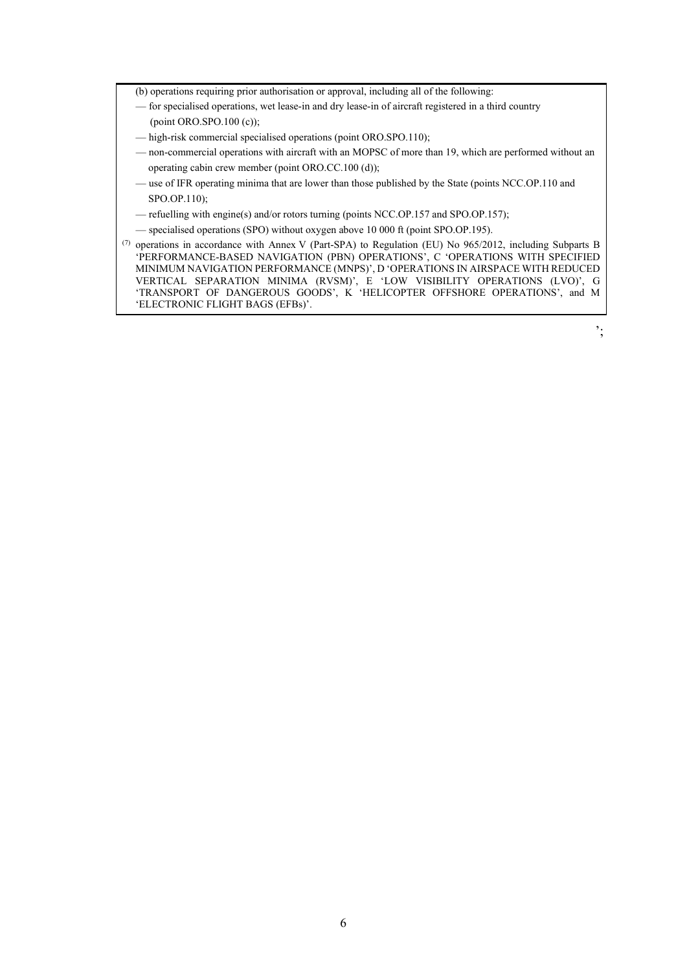- (b) operations requiring prior authorisation or approval, including all of the following:
- for specialised operations, wet lease-in and dry lease-in of aircraft registered in a third country (point ORO.SPO.100 (c));
- high-risk commercial specialised operations (point ORO.SPO.110);
- non-commercial operations with aircraft with an MOPSC of more than 19, which are performed without an operating cabin crew member (point ORO.CC.100 (d));
- use of IFR operating minima that are lower than those published by the State (points NCC.OP.110 and SPO.OP.110);
- refuelling with engine(s) and/or rotors turning (points NCC.OP.157 and SPO.OP.157);
- specialised operations (SPO) without oxygen above 10 000 ft (point SPO.OP.195).
- (7) operations in accordance with Annex V (Part-SPA) to Regulation (EU) No 965/2012, including Subparts B 'PERFORMANCE-BASED NAVIGATION (PBN) OPERATIONS', C 'OPERATIONS WITH SPECIFIED MINIMUM NAVIGATION PERFORMANCE (MNPS)', D 'OPERATIONS IN AIRSPACE WITH REDUCED VERTICAL SEPARATION MINIMA (RVSM)', E 'LOW VISIBILITY OPERATIONS (LVO)', G 'TRANSPORT OF DANGEROUS GOODS', K 'HELICOPTER OFFSHORE OPERATIONS', and M 'ELECTRONIC FLIGHT BAGS (EFBs)'.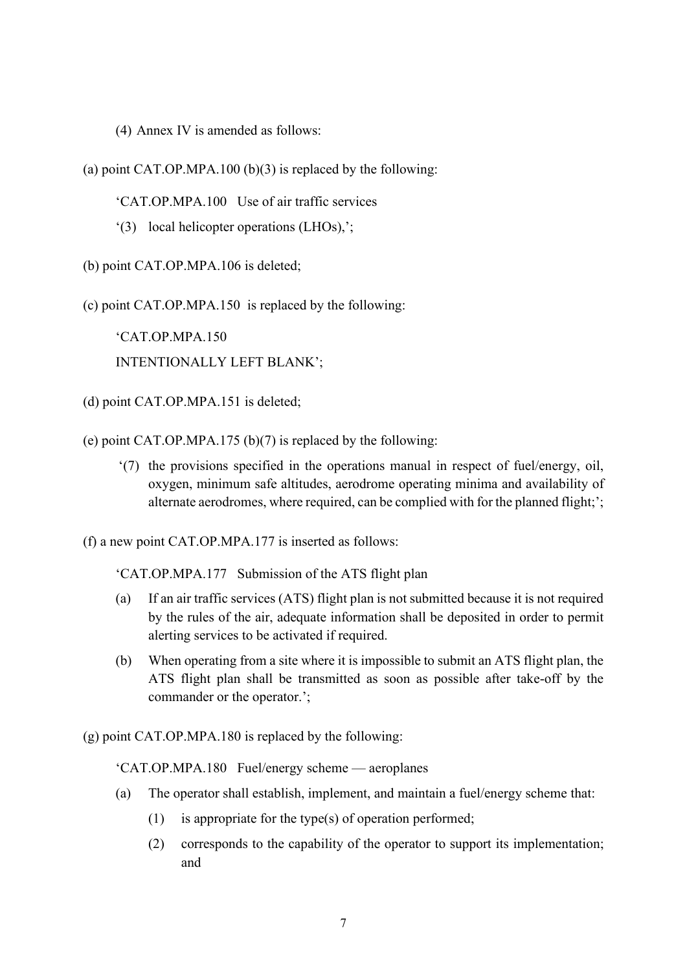(4) Annex IV is amended as follows:

(a) point CAT.OP.MPA.100  $(b)(3)$  is replaced by the following:

'CAT.OP.MPA.100 Use of air traffic services

'(3) local helicopter operations (LHOs),';

(b) point CAT.OP.MPA.106 is deleted;

(c) point CAT.OP.MPA.150 is replaced by the following:

'CAT.OP.MPA.150 INTENTIONALLY LEFT BLANK';

(d) point CAT.OP.MPA.151 is deleted;

(e) point CAT.OP.MPA.175 (b)(7) is replaced by the following:

'(7) the provisions specified in the operations manual in respect of fuel/energy, oil, oxygen, minimum safe altitudes, aerodrome operating minima and availability of alternate aerodromes, where required, can be complied with for the planned flight;';

(f) a new point CAT.OP.MPA.177 is inserted as follows:

'CAT.OP.MPA.177 Submission of the ATS flight plan

- (a) If an air traffic services (ATS) flight plan is not submitted because it is not required by the rules of the air, adequate information shall be deposited in order to permit alerting services to be activated if required.
- (b) When operating from a site where it is impossible to submit an ATS flight plan, the ATS flight plan shall be transmitted as soon as possible after take-off by the commander or the operator.';

(g) point CAT.OP.MPA.180 is replaced by the following:

'CAT.OP.MPA.180 Fuel/energy scheme — aeroplanes

- (a) The operator shall establish, implement, and maintain a fuel/energy scheme that:
	- (1) is appropriate for the type(s) of operation performed;
	- (2) corresponds to the capability of the operator to support its implementation; and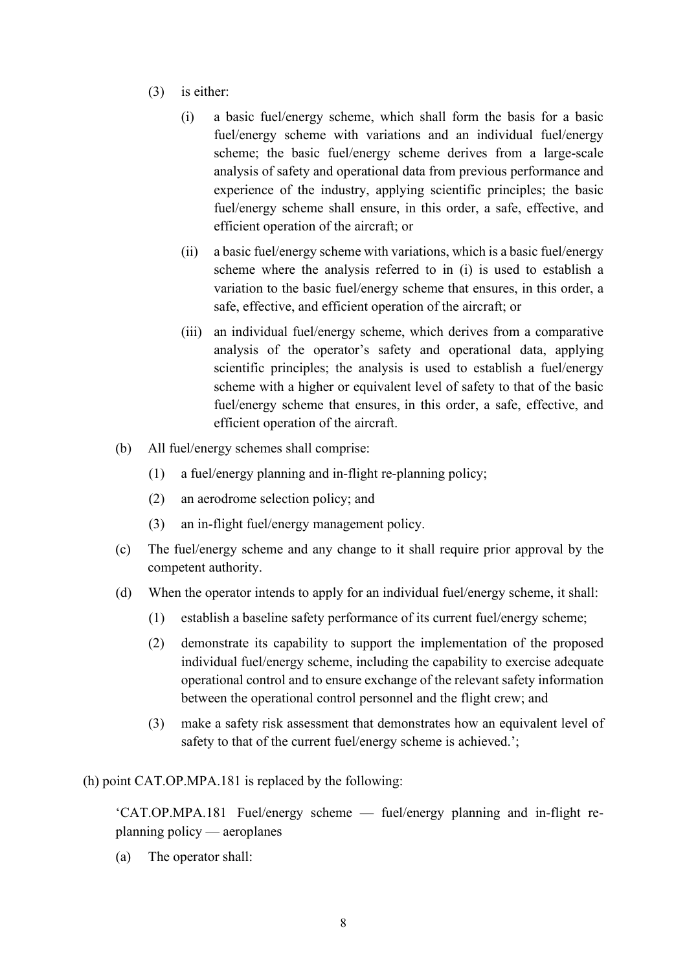- (3) is either:
	- (i) a basic fuel/energy scheme, which shall form the basis for a basic fuel/energy scheme with variations and an individual fuel/energy scheme; the basic fuel/energy scheme derives from a large-scale analysis of safety and operational data from previous performance and experience of the industry, applying scientific principles; the basic fuel/energy scheme shall ensure, in this order, a safe, effective, and efficient operation of the aircraft; or
	- (ii) a basic fuel/energy scheme with variations, which is a basic fuel/energy scheme where the analysis referred to in (i) is used to establish a variation to the basic fuel/energy scheme that ensures, in this order, a safe, effective, and efficient operation of the aircraft; or
	- (iii) an individual fuel/energy scheme, which derives from a comparative analysis of the operator's safety and operational data, applying scientific principles; the analysis is used to establish a fuel/energy scheme with a higher or equivalent level of safety to that of the basic fuel/energy scheme that ensures, in this order, a safe, effective, and efficient operation of the aircraft.
- (b) All fuel/energy schemes shall comprise:
	- (1) a fuel/energy planning and in-flight re-planning policy;
	- (2) an aerodrome selection policy; and
	- (3) an in-flight fuel/energy management policy.
- (c) The fuel/energy scheme and any change to it shall require prior approval by the competent authority.
- (d) When the operator intends to apply for an individual fuel/energy scheme, it shall:
	- (1) establish a baseline safety performance of its current fuel/energy scheme;
	- (2) demonstrate its capability to support the implementation of the proposed individual fuel/energy scheme, including the capability to exercise adequate operational control and to ensure exchange of the relevant safety information between the operational control personnel and the flight crew; and
	- (3) make a safety risk assessment that demonstrates how an equivalent level of safety to that of the current fuel/energy scheme is achieved.';

(h) point CAT.OP.MPA.181 is replaced by the following:

'CAT.OP.MPA.181 Fuel/energy scheme — fuel/energy planning and in-flight replanning policy — aeroplanes

(a) The operator shall: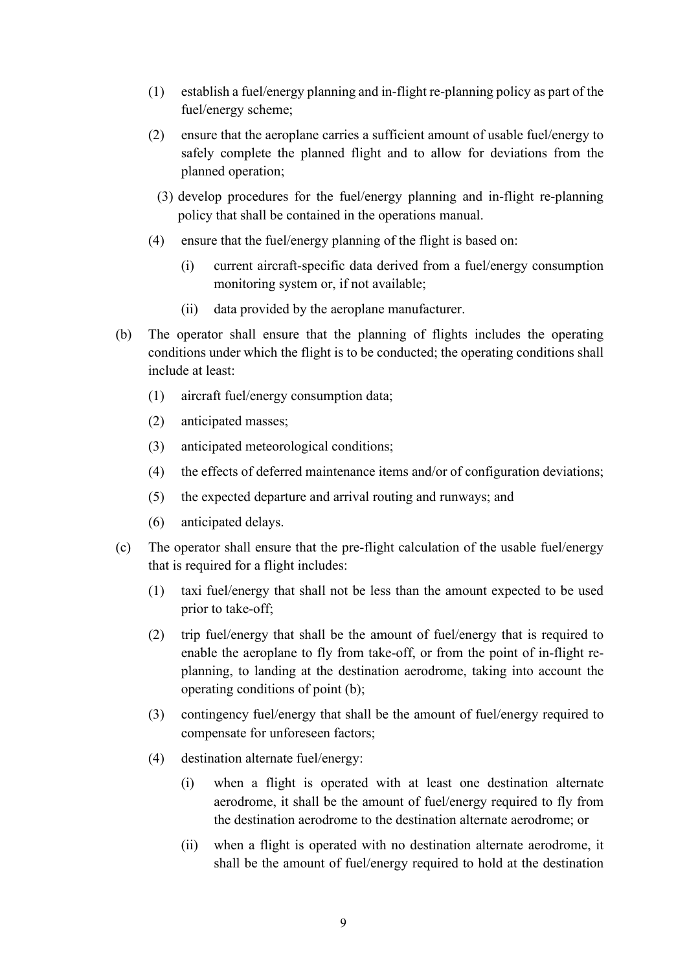- (1) establish a fuel/energy planning and in-flight re-planning policy as part of the fuel/energy scheme;
- (2) ensure that the aeroplane carries a sufficient amount of usable fuel/energy to safely complete the planned flight and to allow for deviations from the planned operation;
	- (3) develop procedures for the fuel/energy planning and in-flight re-planning policy that shall be contained in the operations manual.
- (4) ensure that the fuel/energy planning of the flight is based on:
	- (i) current aircraft-specific data derived from a fuel/energy consumption monitoring system or, if not available;
	- (ii) data provided by the aeroplane manufacturer.
- (b) The operator shall ensure that the planning of flights includes the operating conditions under which the flight is to be conducted; the operating conditions shall include at least:
	- (1) aircraft fuel/energy consumption data;
	- (2) anticipated masses;
	- (3) anticipated meteorological conditions;
	- (4) the effects of deferred maintenance items and/or of configuration deviations;
	- (5) the expected departure and arrival routing and runways; and
	- (6) anticipated delays.
- (c) The operator shall ensure that the pre-flight calculation of the usable fuel/energy that is required for a flight includes:
	- (1) taxi fuel/energy that shall not be less than the amount expected to be used prior to take-off;
	- (2) trip fuel/energy that shall be the amount of fuel/energy that is required to enable the aeroplane to fly from take-off, or from the point of in-flight replanning, to landing at the destination aerodrome, taking into account the operating conditions of point (b);
	- (3) contingency fuel/energy that shall be the amount of fuel/energy required to compensate for unforeseen factors;
	- (4) destination alternate fuel/energy:
		- (i) when a flight is operated with at least one destination alternate aerodrome, it shall be the amount of fuel/energy required to fly from the destination aerodrome to the destination alternate aerodrome; or
		- (ii) when a flight is operated with no destination alternate aerodrome, it shall be the amount of fuel/energy required to hold at the destination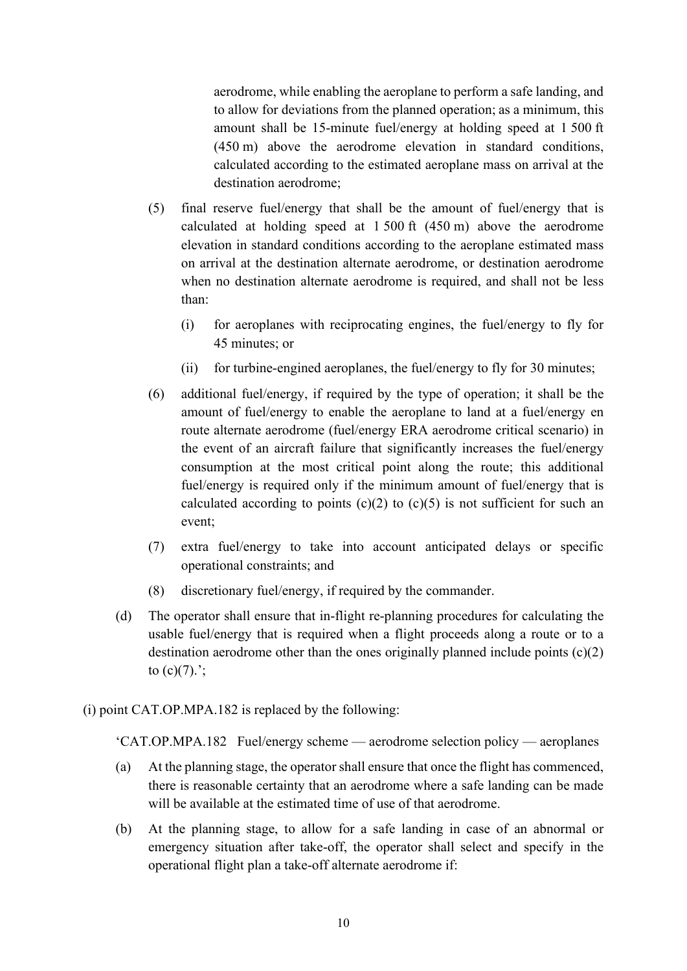aerodrome, while enabling the aeroplane to perform a safe landing, and to allow for deviations from the planned operation; as a minimum, this amount shall be 15-minute fuel/energy at holding speed at 1 500 ft (450 m) above the aerodrome elevation in standard conditions, calculated according to the estimated aeroplane mass on arrival at the destination aerodrome;

- (5) final reserve fuel/energy that shall be the amount of fuel/energy that is calculated at holding speed at 1 500 ft (450 m) above the aerodrome elevation in standard conditions according to the aeroplane estimated mass on arrival at the destination alternate aerodrome, or destination aerodrome when no destination alternate aerodrome is required, and shall not be less than:
	- (i) for aeroplanes with reciprocating engines, the fuel/energy to fly for 45 minutes; or
	- (ii) for turbine-engined aeroplanes, the fuel/energy to fly for 30 minutes;
- (6) additional fuel/energy, if required by the type of operation; it shall be the amount of fuel/energy to enable the aeroplane to land at a fuel/energy en route alternate aerodrome (fuel/energy ERA aerodrome critical scenario) in the event of an aircraft failure that significantly increases the fuel/energy consumption at the most critical point along the route; this additional fuel/energy is required only if the minimum amount of fuel/energy that is calculated according to points  $(c)(2)$  to  $(c)(5)$  is not sufficient for such an event;
- (7) extra fuel/energy to take into account anticipated delays or specific operational constraints; and
- (8) discretionary fuel/energy, if required by the commander.
- (d) The operator shall ensure that in-flight re-planning procedures for calculating the usable fuel/energy that is required when a flight proceeds along a route or to a destination aerodrome other than the ones originally planned include points  $(c)(2)$ to  $(c)(7)$ .';
- (i) point CAT.OP.MPA.182 is replaced by the following:

'CAT.OP.MPA.182 Fuel/energy scheme — aerodrome selection policy — aeroplanes

- (a) At the planning stage, the operator shall ensure that once the flight has commenced, there is reasonable certainty that an aerodrome where a safe landing can be made will be available at the estimated time of use of that aerodrome.
- (b) At the planning stage, to allow for a safe landing in case of an abnormal or emergency situation after take-off, the operator shall select and specify in the operational flight plan a take-off alternate aerodrome if: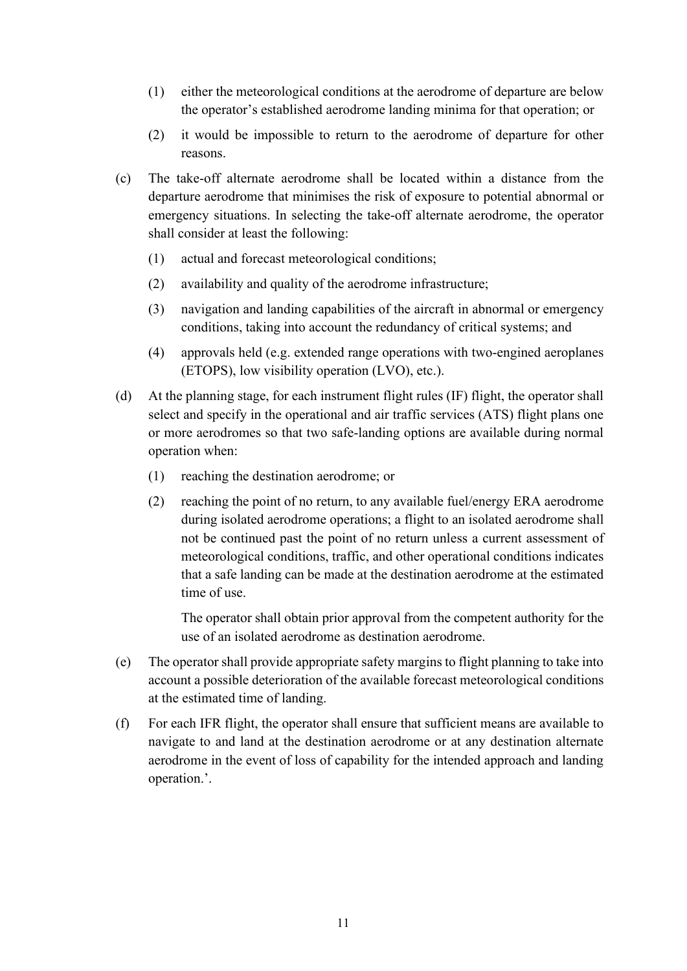- (1) either the meteorological conditions at the aerodrome of departure are below the operator's established aerodrome landing minima for that operation; or
- (2) it would be impossible to return to the aerodrome of departure for other reasons.
- (c) The take-off alternate aerodrome shall be located within a distance from the departure aerodrome that minimises the risk of exposure to potential abnormal or emergency situations. In selecting the take-off alternate aerodrome, the operator shall consider at least the following:
	- (1) actual and forecast meteorological conditions;
	- (2) availability and quality of the aerodrome infrastructure;
	- (3) navigation and landing capabilities of the aircraft in abnormal or emergency conditions, taking into account the redundancy of critical systems; and
	- (4) approvals held (e.g. extended range operations with two-engined aeroplanes (ETOPS), low visibility operation (LVO), etc.).
- (d) At the planning stage, for each instrument flight rules (IF) flight, the operator shall select and specify in the operational and air traffic services (ATS) flight plans one or more aerodromes so that two safe-landing options are available during normal operation when:
	- (1) reaching the destination aerodrome; or
	- (2) reaching the point of no return, to any available fuel/energy ERA aerodrome during isolated aerodrome operations; a flight to an isolated aerodrome shall not be continued past the point of no return unless a current assessment of meteorological conditions, traffic, and other operational conditions indicates that a safe landing can be made at the destination aerodrome at the estimated time of use.

The operator shall obtain prior approval from the competent authority for the use of an isolated aerodrome as destination aerodrome.

- (e) The operator shall provide appropriate safety margins to flight planning to take into account a possible deterioration of the available forecast meteorological conditions at the estimated time of landing.
- (f) For each IFR flight, the operator shall ensure that sufficient means are available to navigate to and land at the destination aerodrome or at any destination alternate aerodrome in the event of loss of capability for the intended approach and landing operation.'.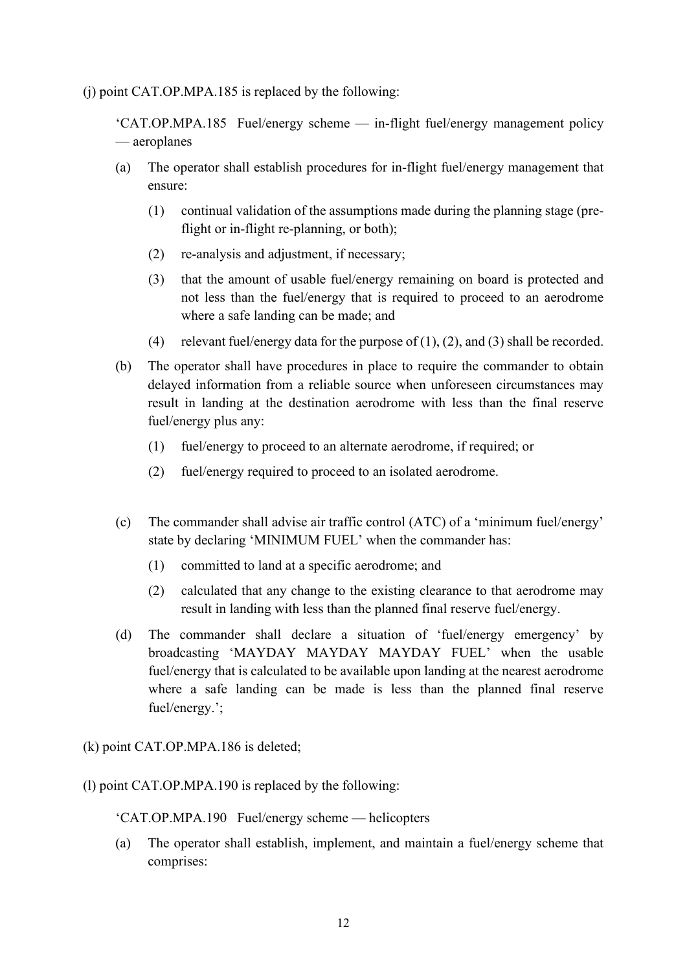(j) point CAT.OP.MPA.185 is replaced by the following:

'CAT.OP.MPA.185 Fuel/energy scheme — in-flight fuel/energy management policy — aeroplanes

- (a) The operator shall establish procedures for in-flight fuel/energy management that ensure:
	- (1) continual validation of the assumptions made during the planning stage (preflight or in-flight re-planning, or both);
	- (2) re-analysis and adjustment, if necessary;
	- (3) that the amount of usable fuel/energy remaining on board is protected and not less than the fuel/energy that is required to proceed to an aerodrome where a safe landing can be made; and
	- (4) relevant fuel/energy data for the purpose of  $(1)$ ,  $(2)$ , and  $(3)$  shall be recorded.
- (b) The operator shall have procedures in place to require the commander to obtain delayed information from a reliable source when unforeseen circumstances may result in landing at the destination aerodrome with less than the final reserve fuel/energy plus any:
	- (1) fuel/energy to proceed to an alternate aerodrome, if required; or
	- (2) fuel/energy required to proceed to an isolated aerodrome.
- (c) The commander shall advise air traffic control (ATC) of a 'minimum fuel/energy' state by declaring 'MINIMUM FUEL' when the commander has:
	- (1) committed to land at a specific aerodrome; and
	- (2) calculated that any change to the existing clearance to that aerodrome may result in landing with less than the planned final reserve fuel/energy.
- (d) The commander shall declare a situation of 'fuel/energy emergency' by broadcasting 'MAYDAY MAYDAY MAYDAY FUEL' when the usable fuel/energy that is calculated to be available upon landing at the nearest aerodrome where a safe landing can be made is less than the planned final reserve fuel/energy.';

(k) point CAT.OP.MPA.186 is deleted;

(l) point CAT.OP.MPA.190 is replaced by the following:

'CAT.OP.MPA.190 Fuel/energy scheme — helicopters

(a) The operator shall establish, implement, and maintain a fuel/energy scheme that comprises: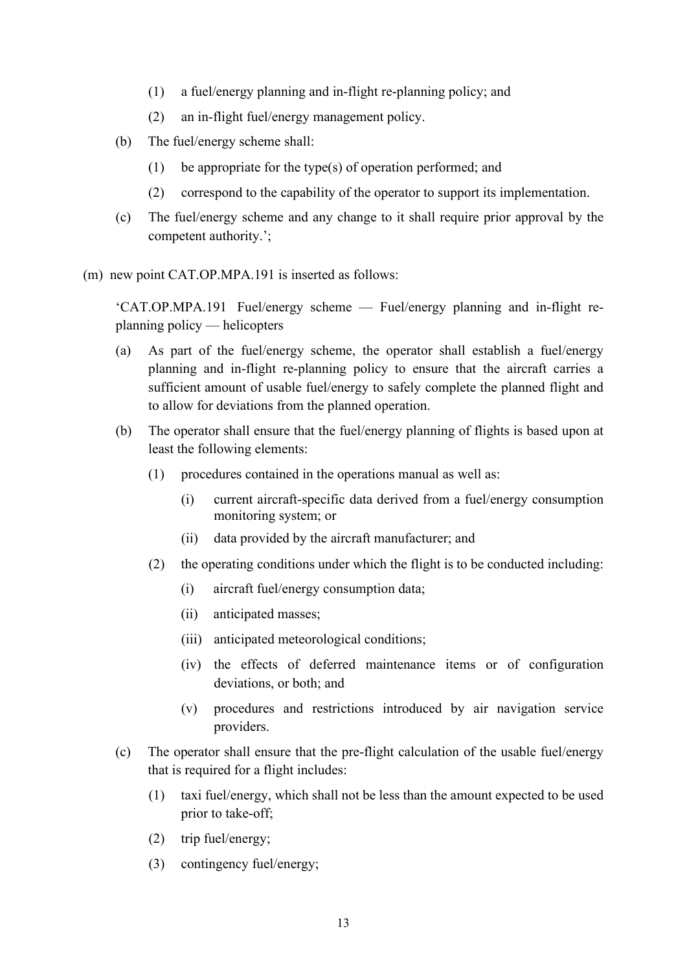- (1) a fuel/energy planning and in-flight re-planning policy; and
- (2) an in-flight fuel/energy management policy.
- (b) The fuel/energy scheme shall:
	- (1) be appropriate for the type(s) of operation performed; and
	- (2) correspond to the capability of the operator to support its implementation.
- (c) The fuel/energy scheme and any change to it shall require prior approval by the competent authority.';

(m) new point CAT.OP.MPA.191 is inserted as follows:

'CAT.OP.MPA.191 Fuel/energy scheme — Fuel/energy planning and in-flight replanning policy — helicopters

- (a) As part of the fuel/energy scheme, the operator shall establish a fuel/energy planning and in-flight re-planning policy to ensure that the aircraft carries a sufficient amount of usable fuel/energy to safely complete the planned flight and to allow for deviations from the planned operation.
- (b) The operator shall ensure that the fuel/energy planning of flights is based upon at least the following elements:
	- (1) procedures contained in the operations manual as well as:
		- (i) current aircraft-specific data derived from a fuel/energy consumption monitoring system; or
		- (ii) data provided by the aircraft manufacturer; and
	- (2) the operating conditions under which the flight is to be conducted including:
		- (i) aircraft fuel/energy consumption data;
		- (ii) anticipated masses;
		- (iii) anticipated meteorological conditions;
		- (iv) the effects of deferred maintenance items or of configuration deviations, or both; and
		- (v) procedures and restrictions introduced by air navigation service providers.
- (c) The operator shall ensure that the pre-flight calculation of the usable fuel/energy that is required for a flight includes:
	- (1) taxi fuel/energy, which shall not be less than the amount expected to be used prior to take-off;
	- (2) trip fuel/energy;
	- (3) contingency fuel/energy;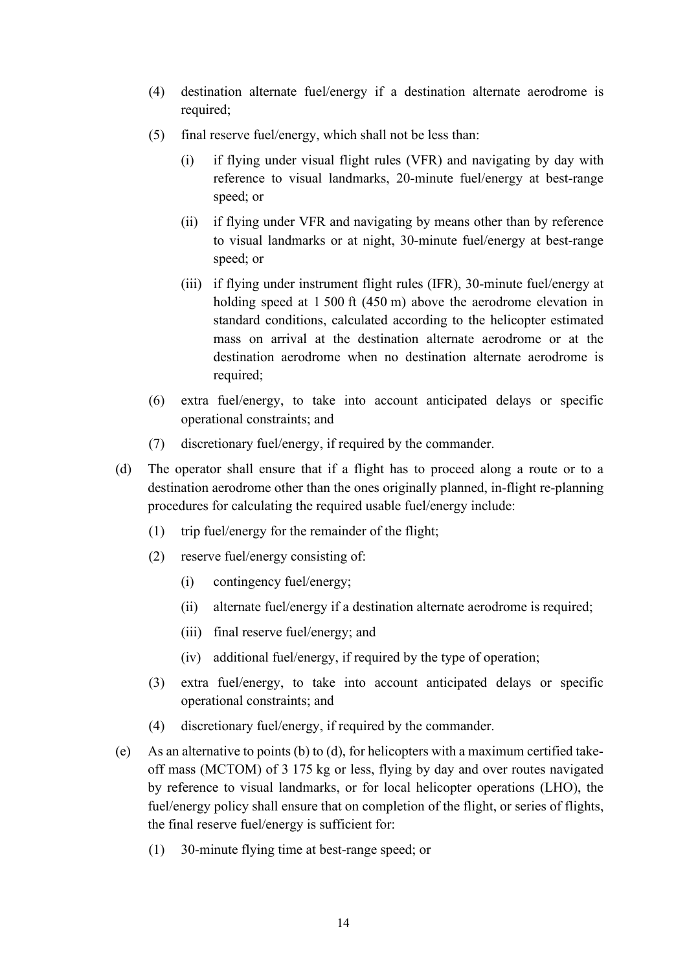- (4) destination alternate fuel/energy if a destination alternate aerodrome is required;
- (5) final reserve fuel/energy, which shall not be less than:
	- (i) if flying under visual flight rules (VFR) and navigating by day with reference to visual landmarks, 20-minute fuel/energy at best-range speed; or
	- (ii) if flying under VFR and navigating by means other than by reference to visual landmarks or at night, 30-minute fuel/energy at best-range speed; or
	- (iii) if flying under instrument flight rules (IFR), 30-minute fuel/energy at holding speed at 1 500 ft (450 m) above the aerodrome elevation in standard conditions, calculated according to the helicopter estimated mass on arrival at the destination alternate aerodrome or at the destination aerodrome when no destination alternate aerodrome is required;
- (6) extra fuel/energy, to take into account anticipated delays or specific operational constraints; and
- (7) discretionary fuel/energy, if required by the commander.
- (d) The operator shall ensure that if a flight has to proceed along a route or to a destination aerodrome other than the ones originally planned, in-flight re-planning procedures for calculating the required usable fuel/energy include:
	- (1) trip fuel/energy for the remainder of the flight;
	- (2) reserve fuel/energy consisting of:
		- (i) contingency fuel/energy;
		- (ii) alternate fuel/energy if a destination alternate aerodrome is required;
		- (iii) final reserve fuel/energy; and
		- (iv) additional fuel/energy, if required by the type of operation;
	- (3) extra fuel/energy, to take into account anticipated delays or specific operational constraints; and
	- (4) discretionary fuel/energy, if required by the commander.
- (e) As an alternative to points (b) to (d), for helicopters with a maximum certified takeoff mass (MCTOM) of 3 175 kg or less, flying by day and over routes navigated by reference to visual landmarks, or for local helicopter operations (LHO), the fuel/energy policy shall ensure that on completion of the flight, or series of flights, the final reserve fuel/energy is sufficient for:
	- (1) 30-minute flying time at best-range speed; or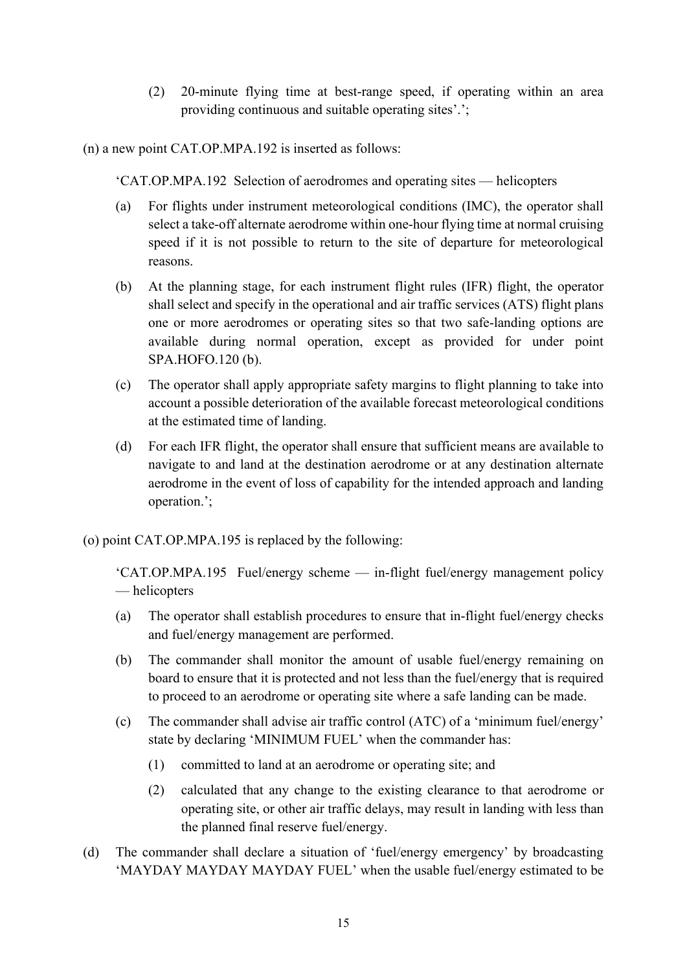(2) 20-minute flying time at best-range speed, if operating within an area providing continuous and suitable operating sites'.';

(n) a new point CAT.OP.MPA.192 is inserted as follows:

'CAT.OP.MPA.192 Selection of aerodromes and operating sites — helicopters

- (a) For flights under instrument meteorological conditions (IMC), the operator shall select a take-off alternate aerodrome within one-hour flying time at normal cruising speed if it is not possible to return to the site of departure for meteorological reasons.
- (b) At the planning stage, for each instrument flight rules (IFR) flight, the operator shall select and specify in the operational and air traffic services (ATS) flight plans one or more aerodromes or operating sites so that two safe-landing options are available during normal operation, except as provided for under point SPA.HOFO.120 (b).
- (c) The operator shall apply appropriate safety margins to flight planning to take into account a possible deterioration of the available forecast meteorological conditions at the estimated time of landing.
- (d) For each IFR flight, the operator shall ensure that sufficient means are available to navigate to and land at the destination aerodrome or at any destination alternate aerodrome in the event of loss of capability for the intended approach and landing operation.';
- (o) point CAT.OP.MPA.195 is replaced by the following:

'CAT.OP.MPA.195 Fuel/energy scheme — in-flight fuel/energy management policy — helicopters

- (a) The operator shall establish procedures to ensure that in-flight fuel/energy checks and fuel/energy management are performed.
- (b) The commander shall monitor the amount of usable fuel/energy remaining on board to ensure that it is protected and not less than the fuel/energy that is required to proceed to an aerodrome or operating site where a safe landing can be made.
- (c) The commander shall advise air traffic control (ATC) of a 'minimum fuel/energy' state by declaring 'MINIMUM FUEL' when the commander has:
	- (1) committed to land at an aerodrome or operating site; and
	- (2) calculated that any change to the existing clearance to that aerodrome or operating site, or other air traffic delays, may result in landing with less than the planned final reserve fuel/energy.
- (d) The commander shall declare a situation of 'fuel/energy emergency' by broadcasting 'MAYDAY MAYDAY MAYDAY FUEL' when the usable fuel/energy estimated to be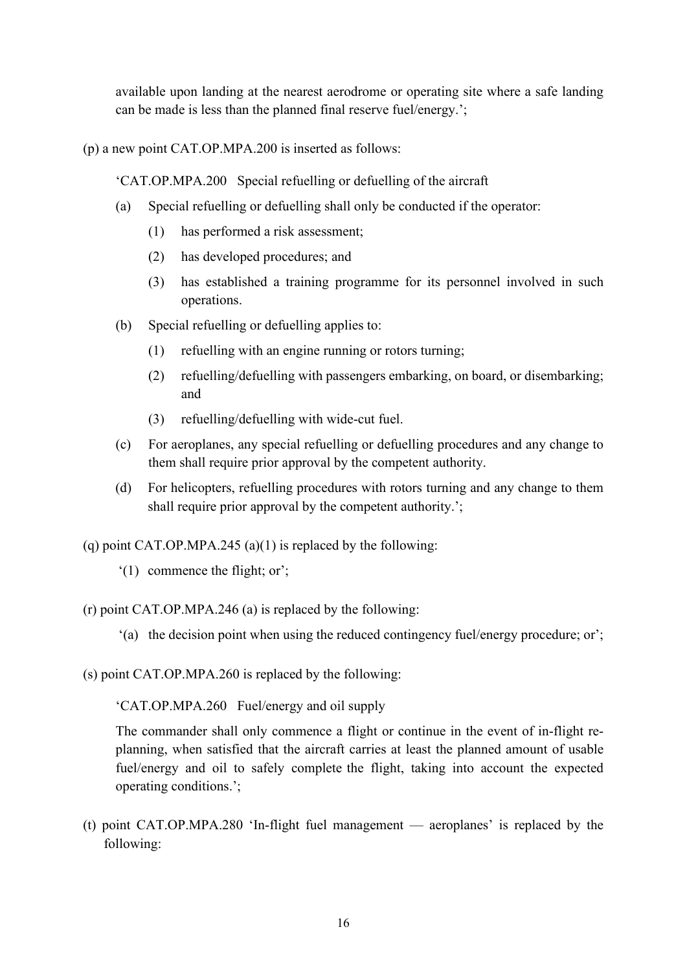available upon landing at the nearest aerodrome or operating site where a safe landing can be made is less than the planned final reserve fuel/energy.';

(p) a new point CAT.OP.MPA.200 is inserted as follows:

'CAT.OP.MPA.200 Special refuelling or defuelling of the aircraft

- (a) Special refuelling or defuelling shall only be conducted if the operator:
	- (1) has performed a risk assessment;
	- (2) has developed procedures; and
	- (3) has established a training programme for its personnel involved in such operations.
- (b) Special refuelling or defuelling applies to:
	- (1) refuelling with an engine running or rotors turning;
	- (2) refuelling/defuelling with passengers embarking, on board, or disembarking; and
	- (3) refuelling/defuelling with wide-cut fuel.
- (c) For aeroplanes, any special refuelling or defuelling procedures and any change to them shall require prior approval by the competent authority.
- (d) For helicopters, refuelling procedures with rotors turning and any change to them shall require prior approval by the competent authority.';

(q) point CAT.OP.MPA.245 (a)(1) is replaced by the following:

'(1) commence the flight; or';

(r) point CAT.OP.MPA.246 (a) is replaced by the following:

- '(a) the decision point when using the reduced contingency fuel/energy procedure; or';
- (s) point CAT.OP.MPA.260 is replaced by the following:

'CAT.OP.MPA.260 Fuel/energy and oil supply

The commander shall only commence a flight or continue in the event of in-flight replanning, when satisfied that the aircraft carries at least the planned amount of usable fuel/energy and oil to safely complete the flight, taking into account the expected operating conditions.';

(t) point CAT.OP.MPA.280 'In-flight fuel management — aeroplanes' is replaced by the following: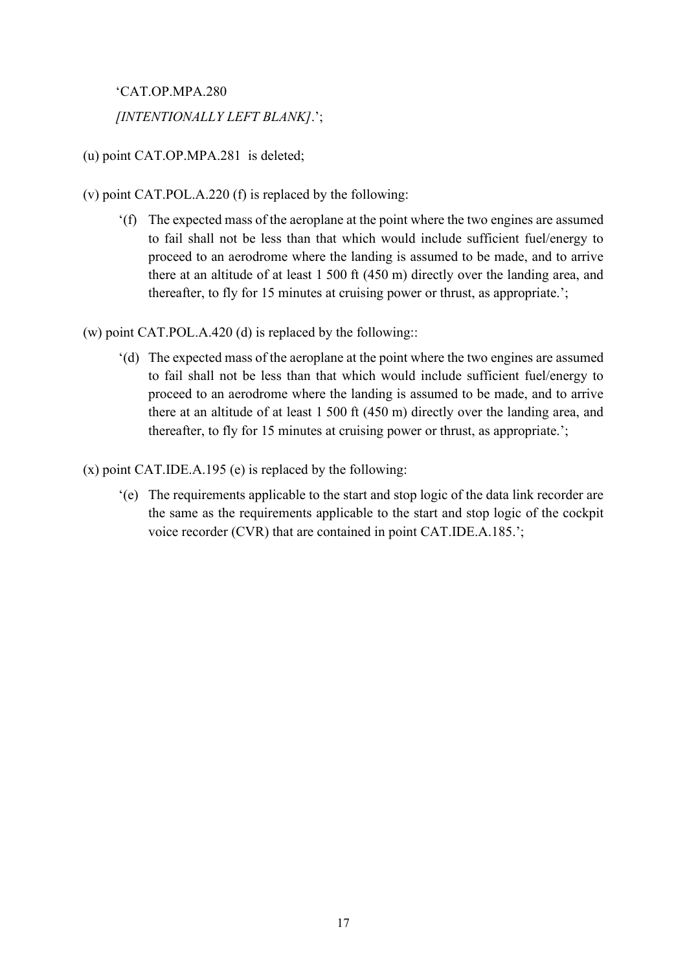'CAT.OP.MPA.280 *[INTENTIONALLY LEFT BLANK]*.';

(u) point CAT.OP.MPA.281 is deleted;

- (v) point CAT.POL.A.220 (f) is replaced by the following:
	- '(f) The expected mass of the aeroplane at the point where the two engines are assumed to fail shall not be less than that which would include sufficient fuel/energy to proceed to an aerodrome where the landing is assumed to be made, and to arrive there at an altitude of at least 1 500 ft (450 m) directly over the landing area, and thereafter, to fly for 15 minutes at cruising power or thrust, as appropriate.';

(w) point CAT.POL.A.420 (d) is replaced by the following::

'(d) The expected mass of the aeroplane at the point where the two engines are assumed to fail shall not be less than that which would include sufficient fuel/energy to proceed to an aerodrome where the landing is assumed to be made, and to arrive there at an altitude of at least 1 500 ft (450 m) directly over the landing area, and thereafter, to fly for 15 minutes at cruising power or thrust, as appropriate.';

(x) point CAT.IDE.A.195 (e) is replaced by the following:

'(e) The requirements applicable to the start and stop logic of the data link recorder are the same as the requirements applicable to the start and stop logic of the cockpit voice recorder (CVR) that are contained in point CAT.IDE.A.185.';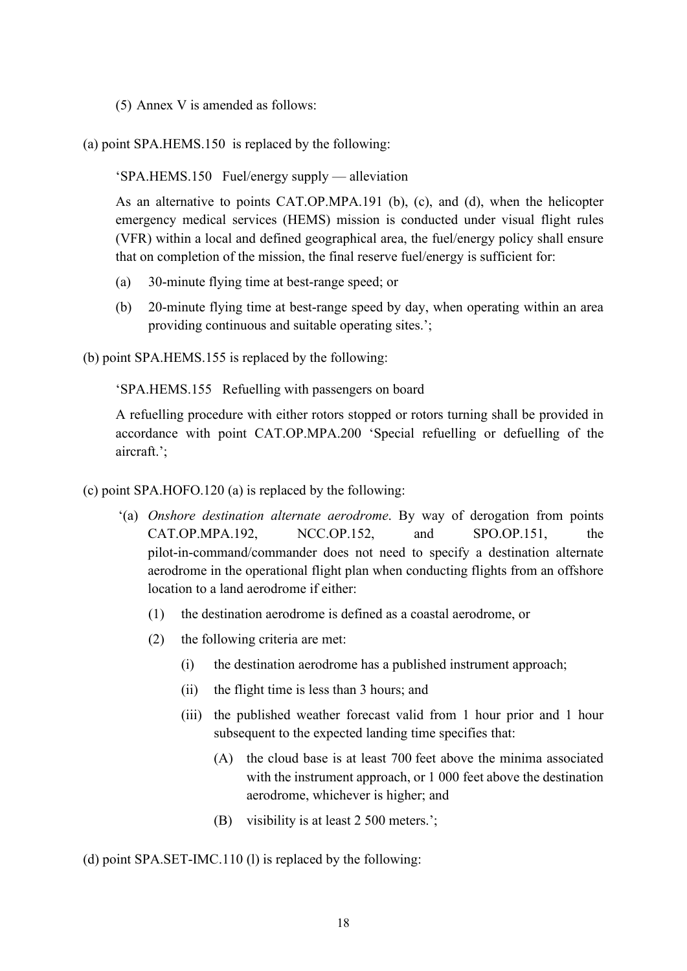- (5) Annex V is amended as follows:
- (a) point SPA.HEMS.150 is replaced by the following:

'SPA.HEMS.150 Fuel/energy supply — alleviation

As an alternative to points CAT.OP.MPA.191 (b), (c), and (d), when the helicopter emergency medical services (HEMS) mission is conducted under visual flight rules (VFR) within a local and defined geographical area, the fuel/energy policy shall ensure that on completion of the mission, the final reserve fuel/energy is sufficient for:

- (a) 30-minute flying time at best-range speed; or
- (b) 20-minute flying time at best-range speed by day, when operating within an area providing continuous and suitable operating sites.';

(b) point SPA.HEMS.155 is replaced by the following:

'SPA.HEMS.155 Refuelling with passengers on board

A refuelling procedure with either rotors stopped or rotors turning shall be provided in accordance with point CAT.OP.MPA.200 'Special refuelling or defuelling of the aircraft.';

(c) point SPA.HOFO.120 (a) is replaced by the following:

- '(a) *Onshore destination alternate aerodrome*. By way of derogation from points  $CAT.OP.MPA.192$ ,  $NCC.OP.152$ , and  $SPO.OP.151$ , pilot-in-command/commander does not need to specify a destination alternate aerodrome in the operational flight plan when conducting flights from an offshore location to a land aerodrome if either:
	- (1) the destination aerodrome is defined as a coastal aerodrome, or
	- (2) the following criteria are met:
		- (i) the destination aerodrome has a published instrument approach;
		- (ii) the flight time is less than 3 hours; and
		- (iii) the published weather forecast valid from 1 hour prior and 1 hour subsequent to the expected landing time specifies that:
			- (A) the cloud base is at least 700 feet above the minima associated with the instrument approach, or 1 000 feet above the destination aerodrome, whichever is higher; and
			- (B) visibility is at least 2 500 meters.';

(d) point SPA.SET-IMC.110 (l) is replaced by the following: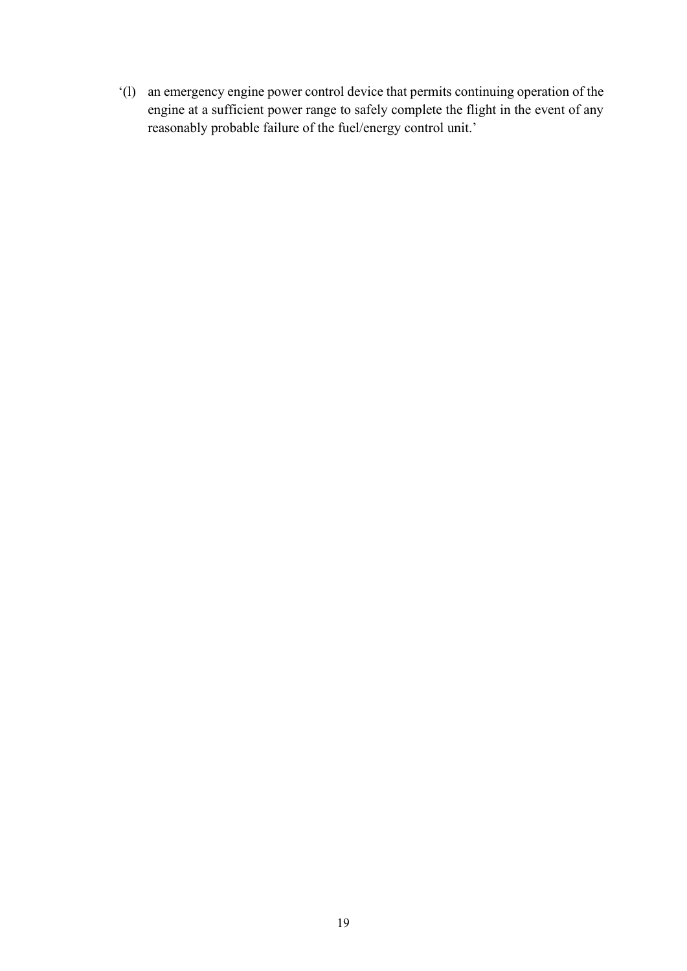'(l) an emergency engine power control device that permits continuing operation of the engine at a sufficient power range to safely complete the flight in the event of any reasonably probable failure of the fuel/energy control unit.'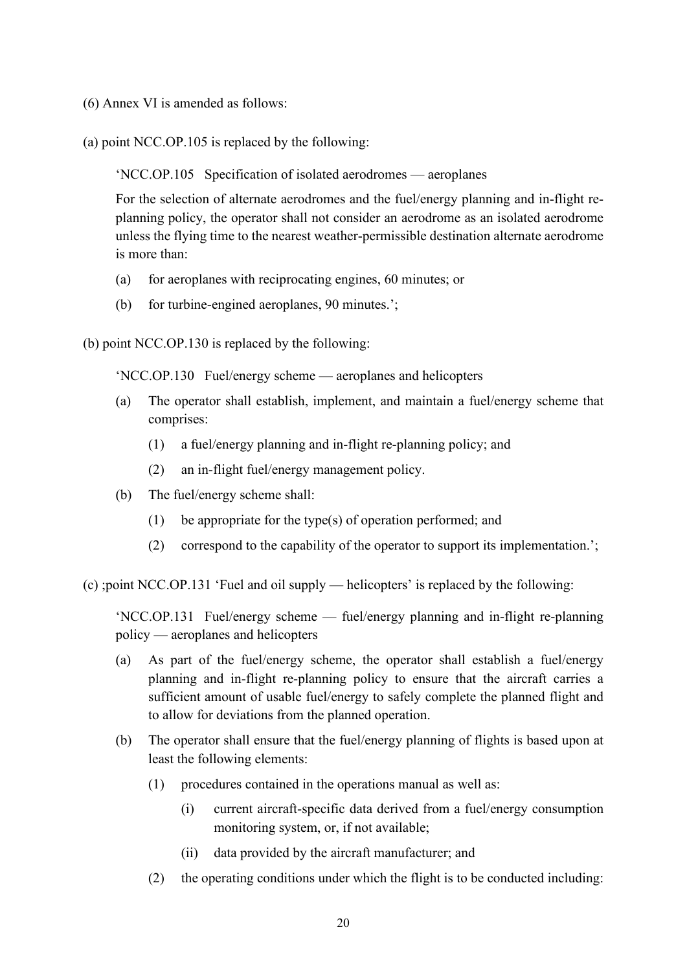- (6) Annex VI is amended as follows:
- (a) point NCC.OP.105 is replaced by the following:

'NCC.OP.105 Specification of isolated aerodromes — aeroplanes

For the selection of alternate aerodromes and the fuel/energy planning and in-flight replanning policy, the operator shall not consider an aerodrome as an isolated aerodrome unless the flying time to the nearest weather-permissible destination alternate aerodrome is more than:

- (a) for aeroplanes with reciprocating engines, 60 minutes; or
- (b) for turbine-engined aeroplanes, 90 minutes.';

(b) point NCC.OP.130 is replaced by the following:

'NCC.OP.130 Fuel/energy scheme — aeroplanes and helicopters

- (a) The operator shall establish, implement, and maintain a fuel/energy scheme that comprises:
	- (1) a fuel/energy planning and in-flight re-planning policy; and
	- (2) an in-flight fuel/energy management policy.
- (b) The fuel/energy scheme shall:
	- (1) be appropriate for the type(s) of operation performed; and
	- (2) correspond to the capability of the operator to support its implementation.';

(c) ;point NCC.OP.131 'Fuel and oil supply — helicopters' is replaced by the following:

'NCC.OP.131 Fuel/energy scheme — fuel/energy planning and in-flight re-planning policy — aeroplanes and helicopters

- (a) As part of the fuel/energy scheme, the operator shall establish a fuel/energy planning and in-flight re-planning policy to ensure that the aircraft carries a sufficient amount of usable fuel/energy to safely complete the planned flight and to allow for deviations from the planned operation.
- (b) The operator shall ensure that the fuel/energy planning of flights is based upon at least the following elements:
	- (1) procedures contained in the operations manual as well as:
		- (i) current aircraft-specific data derived from a fuel/energy consumption monitoring system, or, if not available;
		- (ii) data provided by the aircraft manufacturer; and
	- (2) the operating conditions under which the flight is to be conducted including: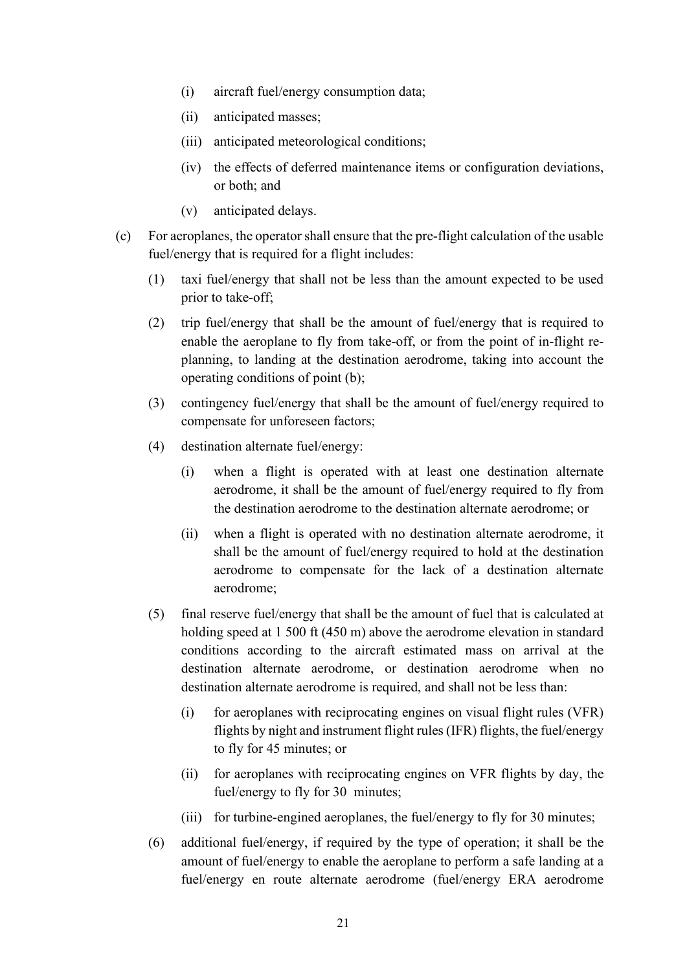- (i) aircraft fuel/energy consumption data;
- (ii) anticipated masses;
- (iii) anticipated meteorological conditions;
- (iv) the effects of deferred maintenance items or configuration deviations, or both; and
- (v) anticipated delays.
- (c) For aeroplanes, the operator shall ensure that the pre-flight calculation of the usable fuel/energy that is required for a flight includes:
	- (1) taxi fuel/energy that shall not be less than the amount expected to be used prior to take-off;
	- (2) trip fuel/energy that shall be the amount of fuel/energy that is required to enable the aeroplane to fly from take-off, or from the point of in-flight replanning, to landing at the destination aerodrome, taking into account the operating conditions of point (b);
	- (3) contingency fuel/energy that shall be the amount of fuel/energy required to compensate for unforeseen factors;
	- (4) destination alternate fuel/energy:
		- (i) when a flight is operated with at least one destination alternate aerodrome, it shall be the amount of fuel/energy required to fly from the destination aerodrome to the destination alternate aerodrome; or
		- (ii) when a flight is operated with no destination alternate aerodrome, it shall be the amount of fuel/energy required to hold at the destination aerodrome to compensate for the lack of a destination alternate aerodrome;
	- (5) final reserve fuel/energy that shall be the amount of fuel that is calculated at holding speed at 1 500 ft (450 m) above the aerodrome elevation in standard conditions according to the aircraft estimated mass on arrival at the destination alternate aerodrome, or destination aerodrome when no destination alternate aerodrome is required, and shall not be less than:
		- (i) for aeroplanes with reciprocating engines on visual flight rules (VFR) flights by night and instrument flight rules (IFR) flights, the fuel/energy to fly for 45 minutes; or
		- (ii) for aeroplanes with reciprocating engines on VFR flights by day, the fuel/energy to fly for 30 minutes;
		- (iii) for turbine-engined aeroplanes, the fuel/energy to fly for 30 minutes;
	- (6) additional fuel/energy, if required by the type of operation; it shall be the amount of fuel/energy to enable the aeroplane to perform a safe landing at a fuel/energy en route alternate aerodrome (fuel/energy ERA aerodrome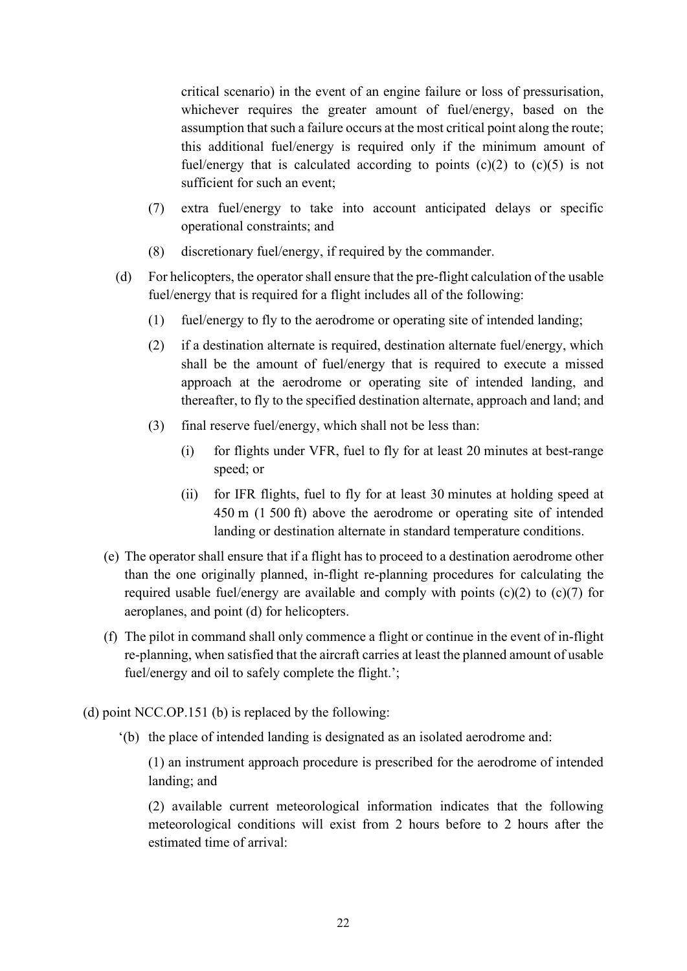critical scenario) in the event of an engine failure or loss of pressurisation, whichever requires the greater amount of fuel/energy, based on the assumption that such a failure occurs at the most critical point along the route; this additional fuel/energy is required only if the minimum amount of fuel/energy that is calculated according to points  $(c)(2)$  to  $(c)(5)$  is not sufficient for such an event;

- (7) extra fuel/energy to take into account anticipated delays or specific operational constraints; and
- (8) discretionary fuel/energy, if required by the commander.
- (d) For helicopters, the operator shall ensure that the pre-flight calculation of the usable fuel/energy that is required for a flight includes all of the following:
	- (1) fuel/energy to fly to the aerodrome or operating site of intended landing;
	- (2) if a destination alternate is required, destination alternate fuel/energy, which shall be the amount of fuel/energy that is required to execute a missed approach at the aerodrome or operating site of intended landing, and thereafter, to fly to the specified destination alternate, approach and land; and
	- (3) final reserve fuel/energy, which shall not be less than:
		- (i) for flights under VFR, fuel to fly for at least 20 minutes at best-range speed; or
		- (ii) for IFR flights, fuel to fly for at least 30 minutes at holding speed at 450 m (1 500 ft) above the aerodrome or operating site of intended landing or destination alternate in standard temperature conditions.
- (e) The operator shall ensure that if a flight has to proceed to a destination aerodrome other than the one originally planned, in-flight re-planning procedures for calculating the required usable fuel/energy are available and comply with points  $(c)(2)$  to  $(c)(7)$  for aeroplanes, and point (d) for helicopters.
- (f) The pilot in command shall only commence a flight or continue in the event of in-flight re-planning, when satisfied that the aircraft carries at least the planned amount of usable fuel/energy and oil to safely complete the flight.';
- (d) point NCC.OP.151 (b) is replaced by the following:
	- '(b) the place of intended landing is designated as an isolated aerodrome and:

(1) an instrument approach procedure is prescribed for the aerodrome of intended landing; and

(2) available current meteorological information indicates that the following meteorological conditions will exist from 2 hours before to 2 hours after the estimated time of arrival: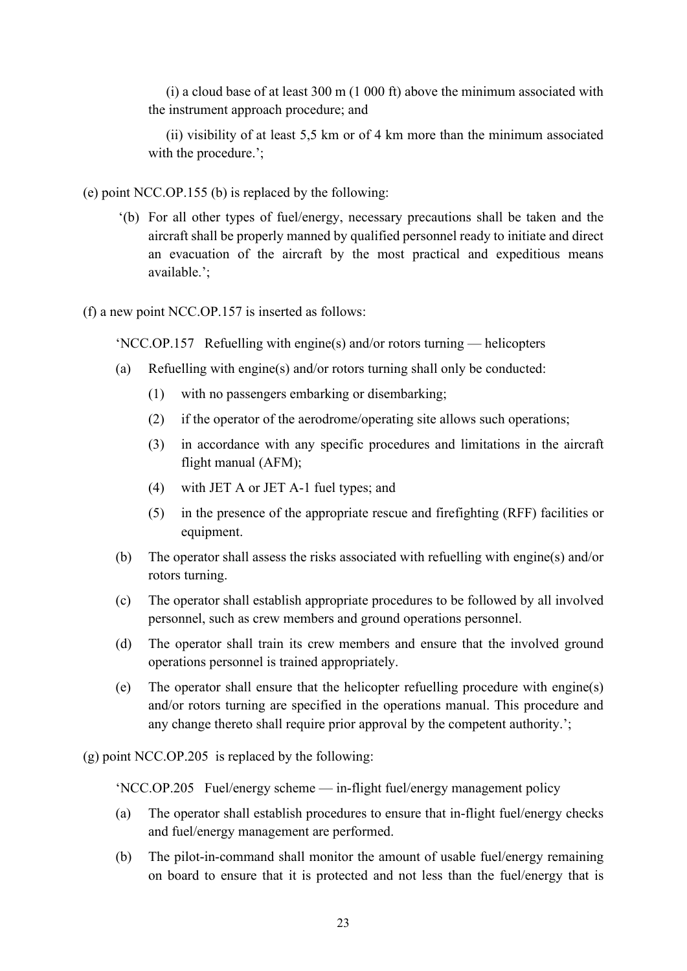(i) a cloud base of at least 300 m (1 000 ft) above the minimum associated with the instrument approach procedure; and

(ii) visibility of at least 5,5 km or of 4 km more than the minimum associated with the procedure.';

- (e) point NCC.OP.155 (b) is replaced by the following:
	- '(b) For all other types of fuel/energy, necessary precautions shall be taken and the aircraft shall be properly manned by qualified personnel ready to initiate and direct an evacuation of the aircraft by the most practical and expeditious means available.';
- (f) a new point NCC.OP.157 is inserted as follows:

'NCC.OP.157 Refuelling with engine(s) and/or rotors turning — helicopters

- (a) Refuelling with engine(s) and/or rotors turning shall only be conducted:
	- (1) with no passengers embarking or disembarking;
	- (2) if the operator of the aerodrome/operating site allows such operations;
	- (3) in accordance with any specific procedures and limitations in the aircraft flight manual (AFM);
	- (4) with JET A or JET A-1 fuel types; and
	- (5) in the presence of the appropriate rescue and firefighting (RFF) facilities or equipment.
- (b) The operator shall assess the risks associated with refuelling with engine(s) and/or rotors turning.
- (c) The operator shall establish appropriate procedures to be followed by all involved personnel, such as crew members and ground operations personnel.
- (d) The operator shall train its crew members and ensure that the involved ground operations personnel is trained appropriately.
- (e) The operator shall ensure that the helicopter refuelling procedure with engine(s) and/or rotors turning are specified in the operations manual. This procedure and any change thereto shall require prior approval by the competent authority.';

(g) point NCC.OP.205 is replaced by the following:

'NCC.OP.205 Fuel/energy scheme — in-flight fuel/energy management policy

- (a) The operator shall establish procedures to ensure that in-flight fuel/energy checks and fuel/energy management are performed.
- (b) The pilot-in-command shall monitor the amount of usable fuel/energy remaining on board to ensure that it is protected and not less than the fuel/energy that is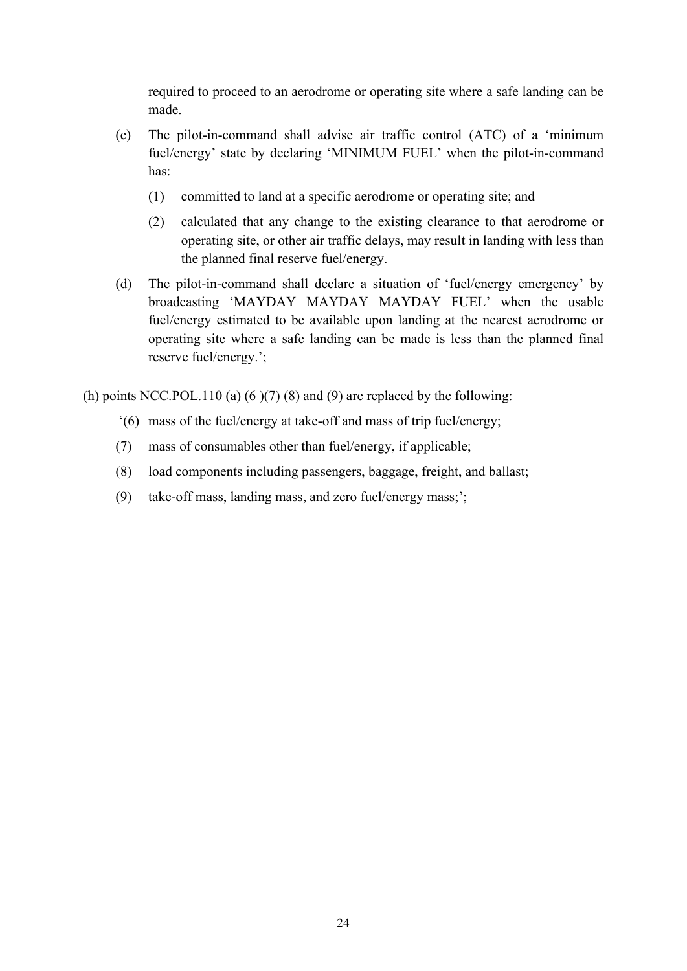required to proceed to an aerodrome or operating site where a safe landing can be made.

- (c) The pilot-in-command shall advise air traffic control (ATC) of a 'minimum fuel/energy' state by declaring 'MINIMUM FUEL' when the pilot-in-command has:
	- (1) committed to land at a specific aerodrome or operating site; and
	- (2) calculated that any change to the existing clearance to that aerodrome or operating site, or other air traffic delays, may result in landing with less than the planned final reserve fuel/energy.
- (d) The pilot-in-command shall declare a situation of 'fuel/energy emergency' by broadcasting 'MAYDAY MAYDAY MAYDAY FUEL' when the usable fuel/energy estimated to be available upon landing at the nearest aerodrome or operating site where a safe landing can be made is less than the planned final reserve fuel/energy.';

(h) points NCC.POL.110 (a)  $(6)(7)(8)$  and  $(9)$  are replaced by the following:

- '(6) mass of the fuel/energy at take-off and mass of trip fuel/energy;
- (7) mass of consumables other than fuel/energy, if applicable;
- (8) load components including passengers, baggage, freight, and ballast;
- (9) take-off mass, landing mass, and zero fuel/energy mass;';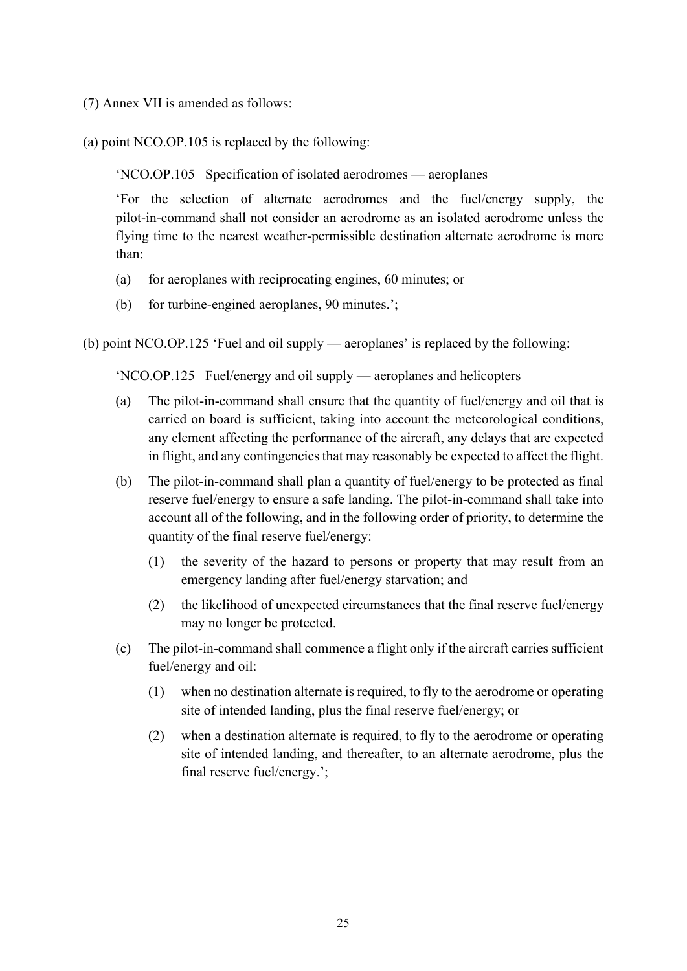- (7) Annex VII is amended as follows:
- (a) point NCO.OP.105 is replaced by the following:

'NCO.OP.105 Specification of isolated aerodromes — aeroplanes

'For the selection of alternate aerodromes and the fuel/energy supply, the pilot-in-command shall not consider an aerodrome as an isolated aerodrome unless the flying time to the nearest weather-permissible destination alternate aerodrome is more than:

- (a) for aeroplanes with reciprocating engines, 60 minutes; or
- (b) for turbine-engined aeroplanes, 90 minutes.';

(b) point NCO.OP.125 'Fuel and oil supply — aeroplanes' is replaced by the following:

'NCO.OP.125 Fuel/energy and oil supply — aeroplanes and helicopters

- (a) The pilot-in-command shall ensure that the quantity of fuel/energy and oil that is carried on board is sufficient, taking into account the meteorological conditions, any element affecting the performance of the aircraft, any delays that are expected in flight, and any contingencies that may reasonably be expected to affect the flight.
- (b) The pilot-in-command shall plan a quantity of fuel/energy to be protected as final reserve fuel/energy to ensure a safe landing. The pilot-in-command shall take into account all of the following, and in the following order of priority, to determine the quantity of the final reserve fuel/energy:
	- (1) the severity of the hazard to persons or property that may result from an emergency landing after fuel/energy starvation; and
	- (2) the likelihood of unexpected circumstances that the final reserve fuel/energy may no longer be protected.
- (c) The pilot-in-command shall commence a flight only if the aircraft carries sufficient fuel/energy and oil:
	- (1) when no destination alternate is required, to fly to the aerodrome or operating site of intended landing, plus the final reserve fuel/energy; or
	- (2) when a destination alternate is required, to fly to the aerodrome or operating site of intended landing, and thereafter, to an alternate aerodrome, plus the final reserve fuel/energy.';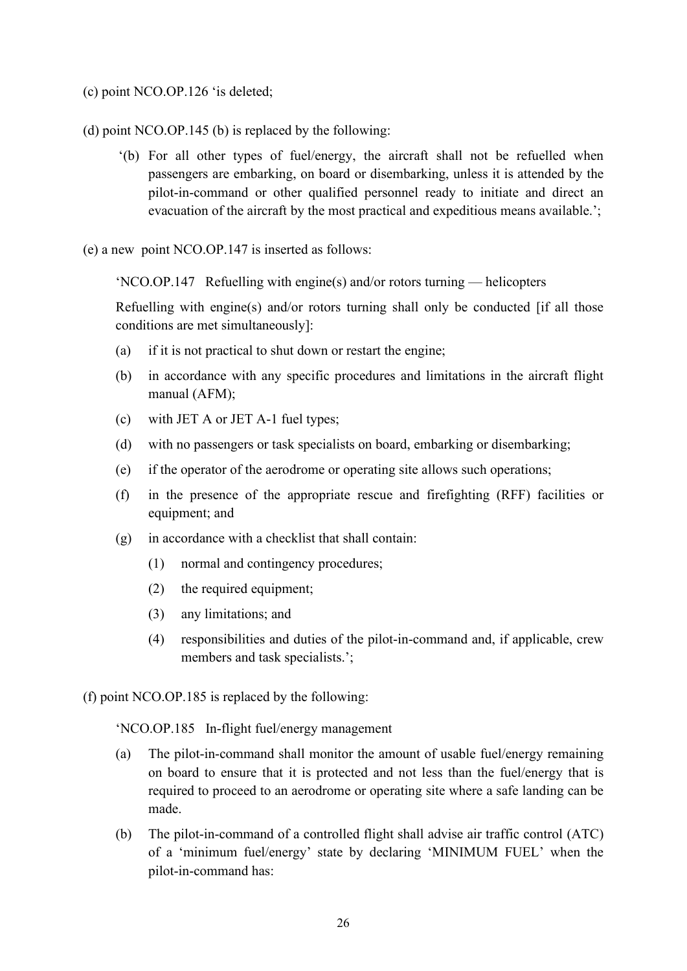- (c) point NCO.OP.126 'is deleted;
- (d) point NCO.OP.145 (b) is replaced by the following:
	- '(b) For all other types of fuel/energy, the aircraft shall not be refuelled when passengers are embarking, on board or disembarking, unless it is attended by the pilot-in-command or other qualified personnel ready to initiate and direct an evacuation of the aircraft by the most practical and expeditious means available.';
- (e) a new point NCO.OP.147 is inserted as follows:

'NCO.OP.147 Refuelling with engine(s) and/or rotors turning — helicopters

Refuelling with engine(s) and/or rotors turning shall only be conducted [if all those conditions are met simultaneously]:

- (a) if it is not practical to shut down or restart the engine;
- (b) in accordance with any specific procedures and limitations in the aircraft flight manual (AFM);
- (c) with JET A or JET A-1 fuel types;
- (d) with no passengers or task specialists on board, embarking or disembarking;
- (e) if the operator of the aerodrome or operating site allows such operations;
- (f) in the presence of the appropriate rescue and firefighting (RFF) facilities or equipment; and
- (g) in accordance with a checklist that shall contain:
	- (1) normal and contingency procedures;
	- (2) the required equipment;
	- (3) any limitations; and
	- (4) responsibilities and duties of the pilot-in-command and, if applicable, crew members and task specialists.';
- (f) point NCO.OP.185 is replaced by the following:

'NCO.OP.185 In-flight fuel/energy management

- (a) The pilot-in-command shall monitor the amount of usable fuel/energy remaining on board to ensure that it is protected and not less than the fuel/energy that is required to proceed to an aerodrome or operating site where a safe landing can be made.
- (b) The pilot-in-command of a controlled flight shall advise air traffic control (ATC) of a 'minimum fuel/energy' state by declaring 'MINIMUM FUEL' when the pilot-in-command has: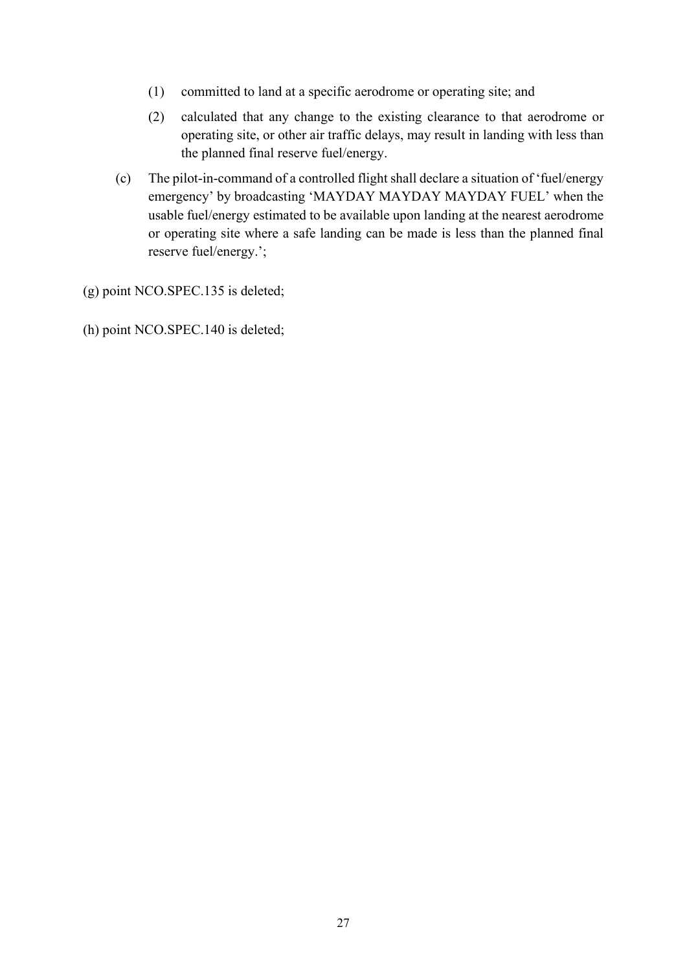- (1) committed to land at a specific aerodrome or operating site; and
- (2) calculated that any change to the existing clearance to that aerodrome or operating site, or other air traffic delays, may result in landing with less than the planned final reserve fuel/energy.
- (c) The pilot-in-command of a controlled flight shall declare a situation of 'fuel/energy emergency' by broadcasting 'MAYDAY MAYDAY MAYDAY FUEL' when the usable fuel/energy estimated to be available upon landing at the nearest aerodrome or operating site where a safe landing can be made is less than the planned final reserve fuel/energy.';
- (g) point NCO.SPEC.135 is deleted;
- (h) point NCO.SPEC.140 is deleted;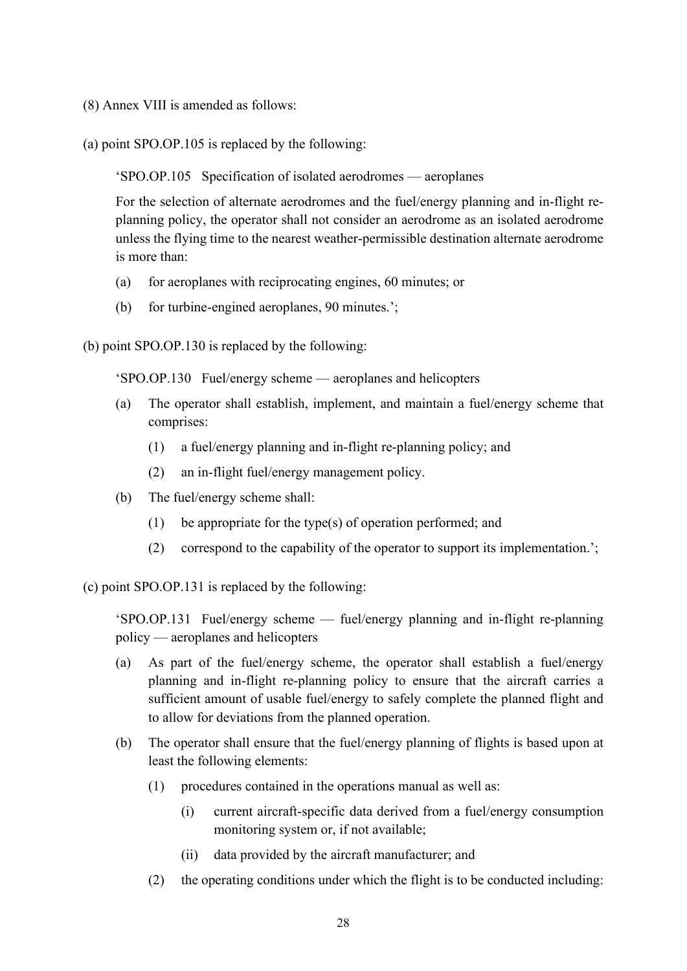- (8) Annex VIII is amended as follows:
- (a) point SPO.OP.105 is replaced by the following:

'SPO.OP.105 Specification of isolated aerodromes — aeroplanes

For the selection of alternate aerodromes and the fuel/energy planning and in-flight replanning policy, the operator shall not consider an aerodrome as an isolated aerodrome unless the flying time to the nearest weather-permissible destination alternate aerodrome is more than:

- (a) for aeroplanes with reciprocating engines, 60 minutes; or
- (b) for turbine-engined aeroplanes, 90 minutes.';

(b) point SPO.OP.130 is replaced by the following:

'SPO.OP.130 Fuel/energy scheme — aeroplanes and helicopters

- (a) The operator shall establish, implement, and maintain a fuel/energy scheme that comprises:
	- (1) a fuel/energy planning and in-flight re-planning policy; and
	- (2) an in-flight fuel/energy management policy.
- (b) The fuel/energy scheme shall:
	- (1) be appropriate for the type(s) of operation performed; and
	- (2) correspond to the capability of the operator to support its implementation.';

(c) point SPO.OP.131 is replaced by the following:

'SPO.OP.131 Fuel/energy scheme — fuel/energy planning and in-flight re-planning policy — aeroplanes and helicopters

- (a) As part of the fuel/energy scheme, the operator shall establish a fuel/energy planning and in-flight re-planning policy to ensure that the aircraft carries a sufficient amount of usable fuel/energy to safely complete the planned flight and to allow for deviations from the planned operation.
- (b) The operator shall ensure that the fuel/energy planning of flights is based upon at least the following elements:
	- (1) procedures contained in the operations manual as well as:
		- (i) current aircraft-specific data derived from a fuel/energy consumption monitoring system or, if not available;
		- (ii) data provided by the aircraft manufacturer; and
	- (2) the operating conditions under which the flight is to be conducted including: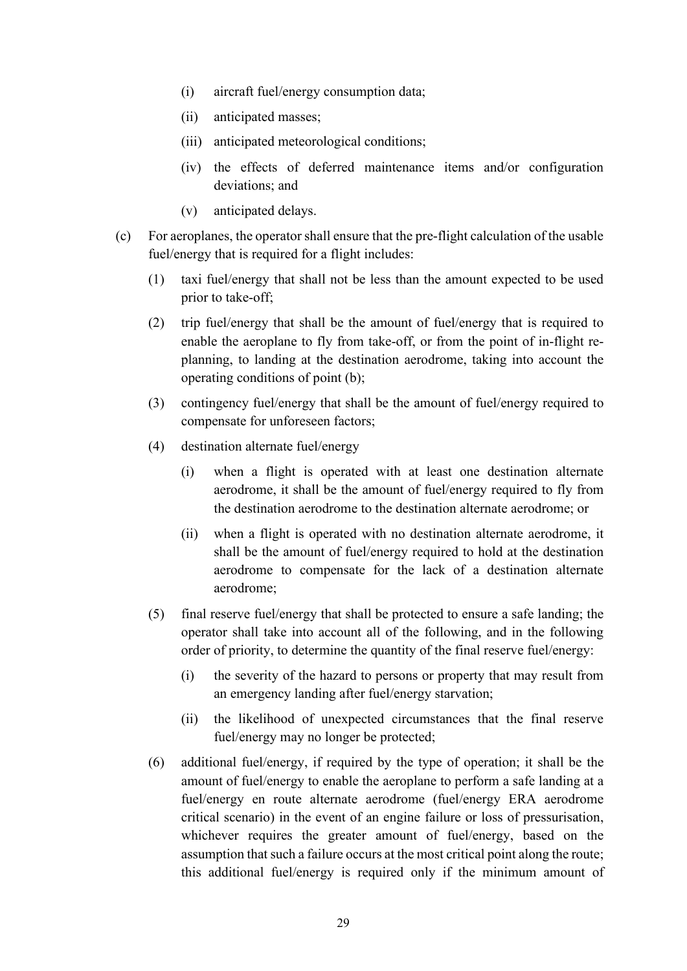- (i) aircraft fuel/energy consumption data;
- (ii) anticipated masses;
- (iii) anticipated meteorological conditions;
- (iv) the effects of deferred maintenance items and/or configuration deviations; and
- (v) anticipated delays.
- (c) For aeroplanes, the operator shall ensure that the pre-flight calculation of the usable fuel/energy that is required for a flight includes:
	- (1) taxi fuel/energy that shall not be less than the amount expected to be used prior to take-off;
	- (2) trip fuel/energy that shall be the amount of fuel/energy that is required to enable the aeroplane to fly from take-off, or from the point of in-flight replanning, to landing at the destination aerodrome, taking into account the operating conditions of point (b);
	- (3) contingency fuel/energy that shall be the amount of fuel/energy required to compensate for unforeseen factors;
	- (4) destination alternate fuel/energy
		- (i) when a flight is operated with at least one destination alternate aerodrome, it shall be the amount of fuel/energy required to fly from the destination aerodrome to the destination alternate aerodrome; or
		- (ii) when a flight is operated with no destination alternate aerodrome, it shall be the amount of fuel/energy required to hold at the destination aerodrome to compensate for the lack of a destination alternate aerodrome;
	- (5) final reserve fuel/energy that shall be protected to ensure a safe landing; the operator shall take into account all of the following, and in the following order of priority, to determine the quantity of the final reserve fuel/energy:
		- (i) the severity of the hazard to persons or property that may result from an emergency landing after fuel/energy starvation;
		- (ii) the likelihood of unexpected circumstances that the final reserve fuel/energy may no longer be protected;
	- (6) additional fuel/energy, if required by the type of operation; it shall be the amount of fuel/energy to enable the aeroplane to perform a safe landing at a fuel/energy en route alternate aerodrome (fuel/energy ERA aerodrome critical scenario) in the event of an engine failure or loss of pressurisation, whichever requires the greater amount of fuel/energy, based on the assumption that such a failure occurs at the most critical point along the route; this additional fuel/energy is required only if the minimum amount of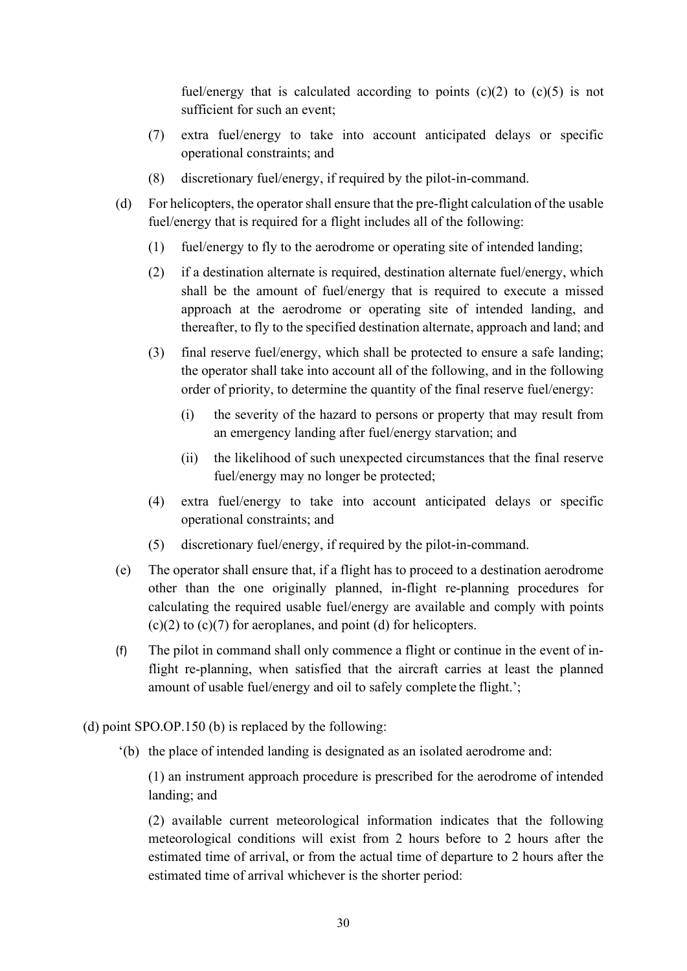fuel/energy that is calculated according to points  $(c)(2)$  to  $(c)(5)$  is not sufficient for such an event;

- (7) extra fuel/energy to take into account anticipated delays or specific operational constraints; and
- (8) discretionary fuel/energy, if required by the pilot-in-command.
- (d) For helicopters, the operator shall ensure that the pre-flight calculation of the usable fuel/energy that is required for a flight includes all of the following:
	- (1) fuel/energy to fly to the aerodrome or operating site of intended landing;
	- (2) if a destination alternate is required, destination alternate fuel/energy, which shall be the amount of fuel/energy that is required to execute a missed approach at the aerodrome or operating site of intended landing, and thereafter, to fly to the specified destination alternate, approach and land; and
	- (3) final reserve fuel/energy, which shall be protected to ensure a safe landing; the operator shall take into account all of the following, and in the following order of priority, to determine the quantity of the final reserve fuel/energy:
		- (i) the severity of the hazard to persons or property that may result from an emergency landing after fuel/energy starvation; and
		- (ii) the likelihood of such unexpected circumstances that the final reserve fuel/energy may no longer be protected;
	- (4) extra fuel/energy to take into account anticipated delays or specific operational constraints; and
	- (5) discretionary fuel/energy, if required by the pilot-in-command.
- (e) The operator shall ensure that, if a flight has to proceed to a destination aerodrome other than the one originally planned, in-flight re-planning procedures for calculating the required usable fuel/energy are available and comply with points  $(c)(2)$  to  $(c)(7)$  for aeroplanes, and point (d) for helicopters.
- (f) The pilot in command shall only commence a flight or continue in the event of inflight re-planning, when satisfied that the aircraft carries at least the planned amount of usable fuel/energy and oil to safely complete the flight.';
- (d) point SPO.OP.150 (b) is replaced by the following:
	- '(b) the place of intended landing is designated as an isolated aerodrome and:

(1) an instrument approach procedure is prescribed for the aerodrome of intended landing; and

(2) available current meteorological information indicates that the following meteorological conditions will exist from 2 hours before to 2 hours after the estimated time of arrival, or from the actual time of departure to 2 hours after the estimated time of arrival whichever is the shorter period: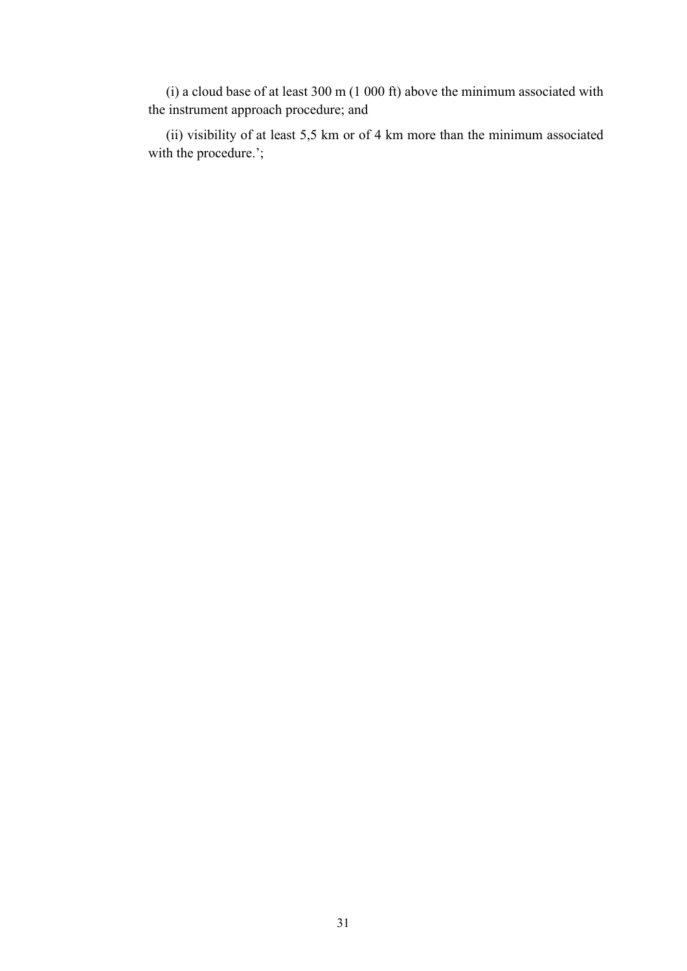(i) a cloud base of at least  $300 \text{ m}$  (1 000 ft) above the minimum associated with the instrument approach procedure; and

(ii) visibility of at least 5,5 km or of 4 km more than the minimum associated with the procedure.';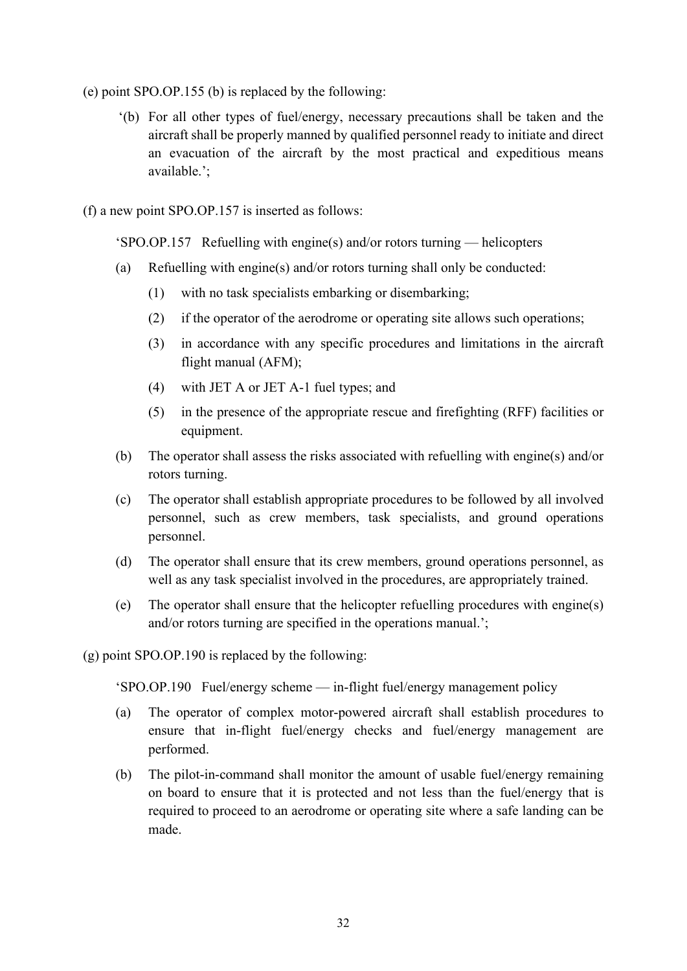- (e) point SPO.OP.155 (b) is replaced by the following:
	- '(b) For all other types of fuel/energy, necessary precautions shall be taken and the aircraft shall be properly manned by qualified personnel ready to initiate and direct an evacuation of the aircraft by the most practical and expeditious means available.';
- (f) a new point SPO.OP.157 is inserted as follows:

'SPO.OP.157 Refuelling with engine(s) and/or rotors turning — helicopters

- (a) Refuelling with engine(s) and/or rotors turning shall only be conducted:
	- (1) with no task specialists embarking or disembarking;
	- (2) if the operator of the aerodrome or operating site allows such operations;
	- (3) in accordance with any specific procedures and limitations in the aircraft flight manual (AFM);
	- (4) with JET A or JET A-1 fuel types; and
	- (5) in the presence of the appropriate rescue and firefighting (RFF) facilities or equipment.
- (b) The operator shall assess the risks associated with refuelling with engine(s) and/or rotors turning.
- (c) The operator shall establish appropriate procedures to be followed by all involved personnel, such as crew members, task specialists, and ground operations personnel.
- (d) The operator shall ensure that its crew members, ground operations personnel, as well as any task specialist involved in the procedures, are appropriately trained.
- (e) The operator shall ensure that the helicopter refuelling procedures with engine(s) and/or rotors turning are specified in the operations manual.';

(g) point SPO.OP.190 is replaced by the following:

'SPO.OP.190 Fuel/energy scheme — in-flight fuel/energy management policy

- (a) The operator of complex motor-powered aircraft shall establish procedures to ensure that in-flight fuel/energy checks and fuel/energy management are performed.
- (b) The pilot-in-command shall monitor the amount of usable fuel/energy remaining on board to ensure that it is protected and not less than the fuel/energy that is required to proceed to an aerodrome or operating site where a safe landing can be made.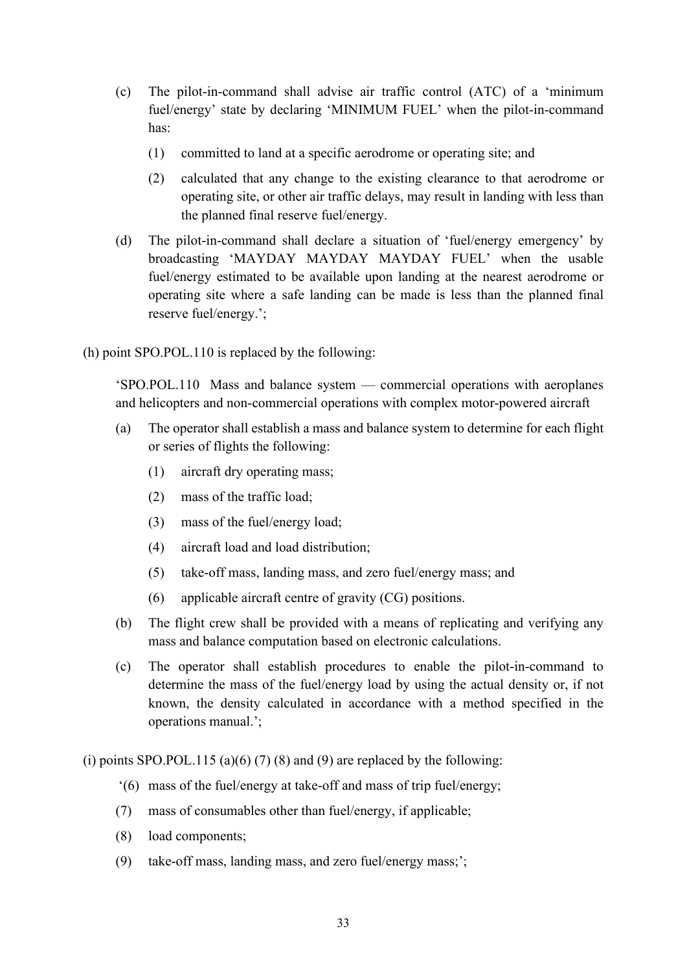- (c) The pilot-in-command shall advise air traffic control (ATC) of a 'minimum fuel/energy' state by declaring 'MINIMUM FUEL' when the pilot-in-command has:
	- (1) committed to land at a specific aerodrome or operating site; and
	- (2) calculated that any change to the existing clearance to that aerodrome or operating site, or other air traffic delays, may result in landing with less than the planned final reserve fuel/energy.
- (d) The pilot-in-command shall declare a situation of 'fuel/energy emergency' by broadcasting 'MAYDAY MAYDAY MAYDAY FUEL' when the usable fuel/energy estimated to be available upon landing at the nearest aerodrome or operating site where a safe landing can be made is less than the planned final reserve fuel/energy.';
- (h) point SPO.POL.110 is replaced by the following:

'SPO.POL.110 Mass and balance system — commercial operations with aeroplanes and helicopters and non-commercial operations with complex motor-powered aircraft

- (a) The operator shall establish a mass and balance system to determine for each flight or series of flights the following:
	- (1) aircraft dry operating mass;
	- (2) mass of the traffic load;
	- (3) mass of the fuel/energy load;
	- (4) aircraft load and load distribution;
	- (5) take-off mass, landing mass, and zero fuel/energy mass; and
	- (6) applicable aircraft centre of gravity (CG) positions.
- (b) The flight crew shall be provided with a means of replicating and verifying any mass and balance computation based on electronic calculations.
- (c) The operator shall establish procedures to enable the pilot-in-command to determine the mass of the fuel/energy load by using the actual density or, if not known, the density calculated in accordance with a method specified in the operations manual.';

(i) points SPO.POL.115 (a)(6) (7) (8) and (9) are replaced by the following:

- '(6) mass of the fuel/energy at take-off and mass of trip fuel/energy;
- (7) mass of consumables other than fuel/energy, if applicable;
- (8) load components;
- (9) take-off mass, landing mass, and zero fuel/energy mass;';